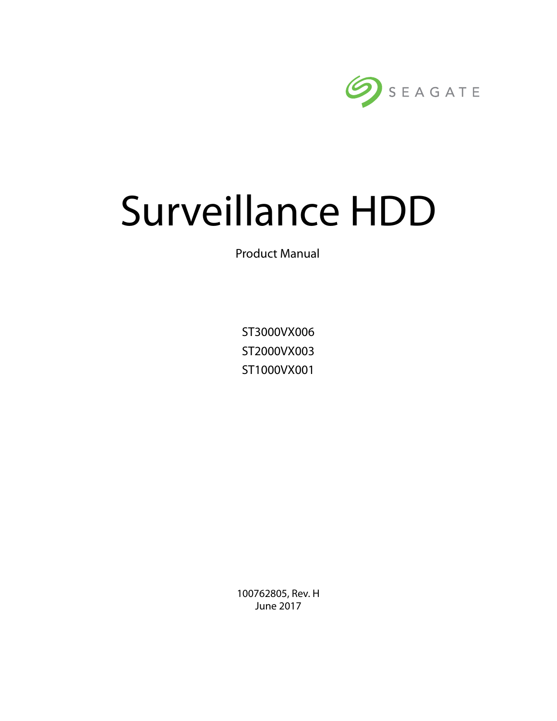

# Surveillance HDD

Product Manual

ST3000VX006 ST2000VX003 ST1000VX001

100762805, Rev. H June 2017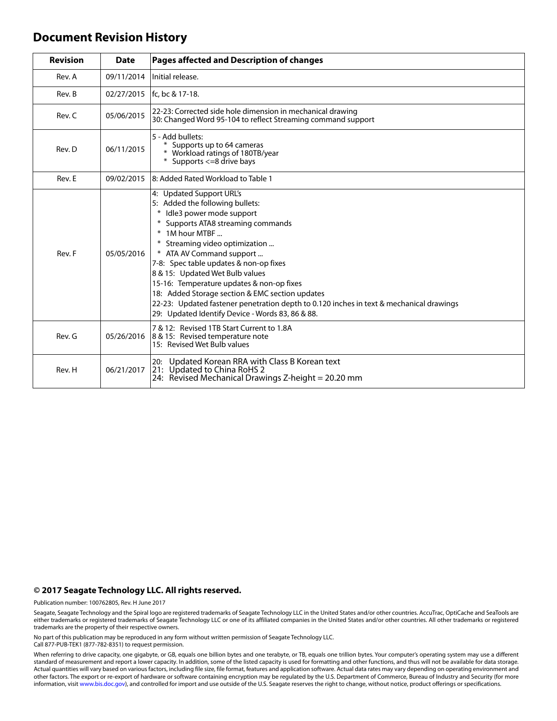#### **Document Revision History**

| <b>Revision</b> | <b>Date</b> | Pages affected and Description of changes                                                                                                                                                                                                                                                                                                                                                                                                                                                                                                 |  |
|-----------------|-------------|-------------------------------------------------------------------------------------------------------------------------------------------------------------------------------------------------------------------------------------------------------------------------------------------------------------------------------------------------------------------------------------------------------------------------------------------------------------------------------------------------------------------------------------------|--|
| Rev. A          | 09/11/2014  | Initial release.                                                                                                                                                                                                                                                                                                                                                                                                                                                                                                                          |  |
| Rev. B          |             | 02/27/2015   fc, bc & 17-18.                                                                                                                                                                                                                                                                                                                                                                                                                                                                                                              |  |
| Rev. C          | 05/06/2015  | 22-23: Corrected side hole dimension in mechanical drawing<br>30: Changed Word 95-104 to reflect Streaming command support                                                                                                                                                                                                                                                                                                                                                                                                                |  |
| Rev. D          | 06/11/2015  | 5 - Add bullets:<br>Supports up to 64 cameras<br>* Workload ratings of 180TB/year<br>* Supports <= 8 drive bays                                                                                                                                                                                                                                                                                                                                                                                                                           |  |
| Rev. E          | 09/02/2015  | 8: Added Rated Workload to Table 1                                                                                                                                                                                                                                                                                                                                                                                                                                                                                                        |  |
| Rev. F          | 05/05/2016  | 4: Updated Support URL's<br>5: Added the following bullets:<br>* Idle3 power mode support<br>* Supports ATA8 streaming commands<br>* 1M hour MTBF<br>Streaming video optimization<br>* ATA AV Command support<br>7-8: Spec table updates & non-op fixes<br>8 & 15: Updated Wet Bulb values<br>15-16: Temperature updates & non-op fixes<br>18: Added Storage section & EMC section updates<br>22-23: Updated fastener penetration depth to 0.120 inches in text & mechanical drawings<br>29: Updated Identify Device - Words 83, 86 & 88. |  |
| Rev. G          | 05/26/2016  | 7 & 12: Revised 1TB Start Current to 1.8A<br>8 & 15: Revised temperature note<br>15: Revised Wet Bulb values                                                                                                                                                                                                                                                                                                                                                                                                                              |  |
| Rev. H          | 06/21/2017  | 20: Updated Korean RRA with Class B Korean text<br>21: Updated to China RoHS 2<br>24: Revised Mechanical Drawings Z-height = 20.20 mm                                                                                                                                                                                                                                                                                                                                                                                                     |  |

#### **© 2017 Seagate Technology LLC. All rights reserved.**

Publication number: 100762805, Rev. H June 2017

Seagate, Seagate Technology and the Spiral logo are registered trademarks of Seagate Technology LLC in the United States and/or other countries. AccuTrac, OptiCache and SeaTools are either trademarks or registered trademarks of Seagate Technology LLC or one of its affiliated companies in the United States and/or other countries. All other trademarks or registered trademarks are the property of their respective owners.

No part of this publication may be reproduced in any form without written permission of Seagate Technology LLC. Call 877-PUB-TEK1 (877-782-8351) to request permission.

When referring to drive capacity, one gigabyte, or GB, equals one billion bytes and one terabyte, or TB, equals one trillion bytes. Your computer's operating system may use a different standard of measurement and report a lower capacity. In addition, some of the listed capacity is used for formatting and other functions, and thus will not be available for data storage.<br>Actual quantities will vary based o other factors. The export or re-export of hardware or software containing encryption may be regulated by the U.S. Department of Commerce, Bureau of Industry and Security (for more information, visit [www.bis.doc.gov\)](http://www.bis.doc.gov), and controlled for import and use outside of the U.S. Seagate reserves the right to change, without notice, product offerings or specifications.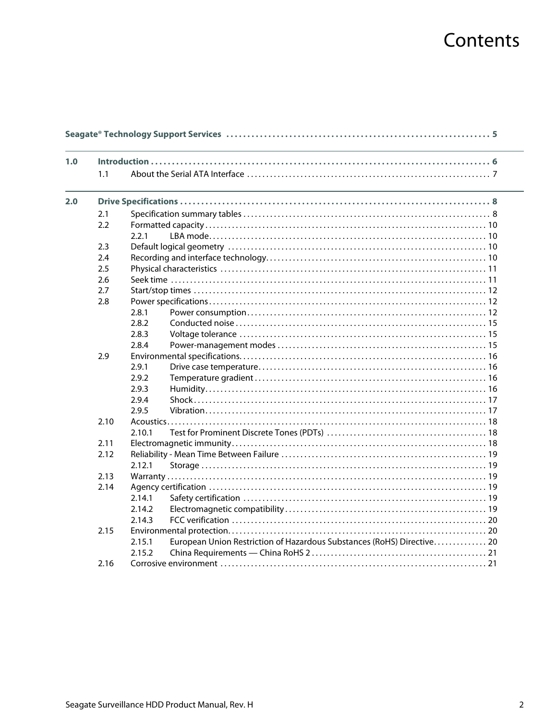# Contents

| 1.0 |      |        |                                                                        |
|-----|------|--------|------------------------------------------------------------------------|
|     | 1.1  |        |                                                                        |
| 2.0 |      |        |                                                                        |
|     | 2.1  |        |                                                                        |
|     | 2.2  |        |                                                                        |
|     |      | 2.2.1  |                                                                        |
|     | 2.3  |        |                                                                        |
|     | 2.4  |        |                                                                        |
|     | 2.5  |        |                                                                        |
|     | 2.6  |        |                                                                        |
|     | 2.7  |        |                                                                        |
|     | 2.8  |        |                                                                        |
|     |      | 2.8.1  |                                                                        |
|     |      | 2.8.2  |                                                                        |
|     |      | 2.8.3  |                                                                        |
|     |      | 2.8.4  |                                                                        |
|     | 2.9  |        |                                                                        |
|     |      | 2.9.1  |                                                                        |
|     |      | 2.9.2  |                                                                        |
|     |      | 2.9.3  |                                                                        |
|     |      | 2.9.4  |                                                                        |
|     |      | 2.9.5  |                                                                        |
|     | 2.10 |        |                                                                        |
|     |      | 2.10.1 |                                                                        |
|     | 2.11 |        |                                                                        |
|     | 2.12 |        |                                                                        |
|     |      | 2.12.1 |                                                                        |
|     | 2.13 |        |                                                                        |
|     | 2.14 |        |                                                                        |
|     |      | 2.14.1 |                                                                        |
|     |      | 2.14.2 |                                                                        |
|     |      | 2.14.3 |                                                                        |
|     | 2.15 |        |                                                                        |
|     |      | 2.15.1 | European Union Restriction of Hazardous Substances (RoHS) Directive 20 |
|     |      | 2.15.2 |                                                                        |
|     | 2.16 |        |                                                                        |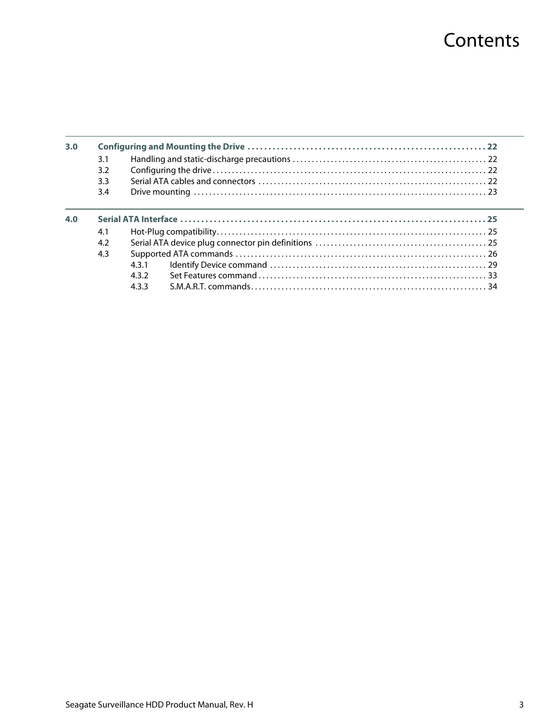# **Contents**

| 3.0 |     |       |  |  |
|-----|-----|-------|--|--|
|     | 3.1 |       |  |  |
|     | 3.2 |       |  |  |
|     | 3.3 |       |  |  |
|     | 3.4 |       |  |  |
| 4.0 |     |       |  |  |
|     | 4.1 |       |  |  |
|     | 4.2 |       |  |  |
|     | 4.3 |       |  |  |
|     |     | 431   |  |  |
|     |     | 4.3.2 |  |  |
|     |     | 433   |  |  |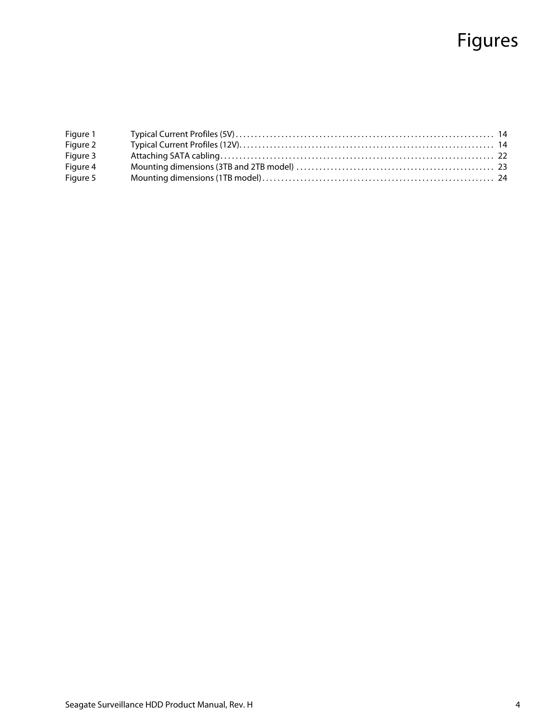# Figures

| Figure 1 |  |
|----------|--|
| Figure 2 |  |
| Figure 3 |  |
| Figure 4 |  |
| Figure 5 |  |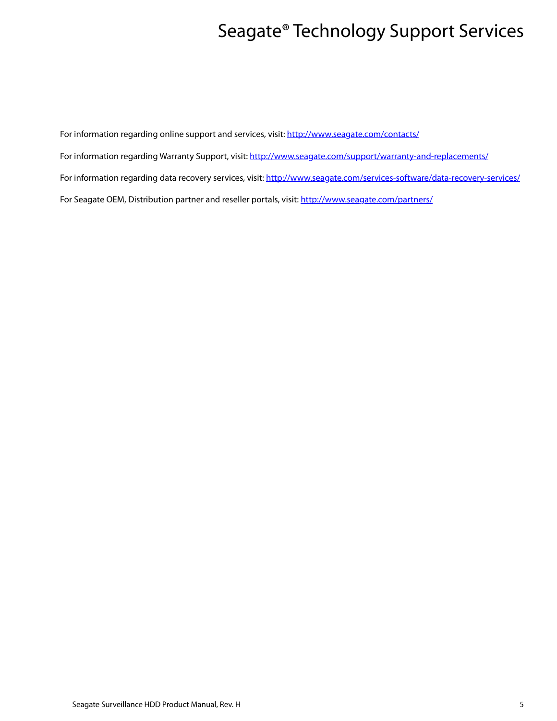# Seagate® Technology Support Services

<span id="page-5-0"></span>For information regarding online support and services, visit: [http://www.sea](http://www.seagate.com/contacts/)gate.com/contacts/

[For information regarding Warranty Support, visit: h](http://www.seagate.com/support/warranty-and-replacements/)ttp://www.seagate.com/support/warranty-and-replacements/

For information regarding data recovery services, visit: [http://www.sea](http://www.seagate.com/services-software/data-recovery-services/)gate.com/services-software/data-recovery-services/

[For Seagate OEM, Distribution partner and reseller portals, visit: h](http://www.seagate.com/partners/)ttp://www.seagate.com/partners/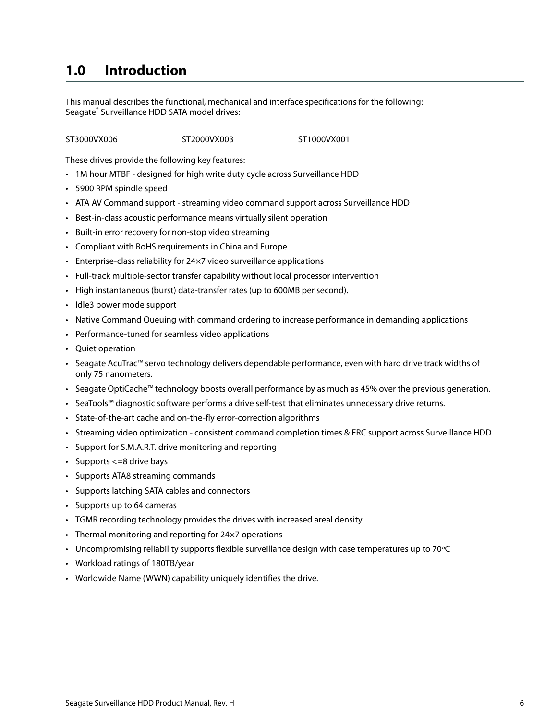## <span id="page-6-0"></span>**1.0 Introduction**

This manual describes the functional, mechanical and interface specifications for the following: Seagate® Surveillance HDD SATA model drives:

ST3000VX006 ST2000VX003 ST1000VX001

These drives provide the following key features:

- 1M hour MTBF designed for high write duty cycle across Surveillance HDD
- 5900 RPM spindle speed
- ATA AV Command support streaming video command support across Surveillance HDD
- Best-in-class acoustic performance means virtually silent operation
- Built-in error recovery for non-stop video streaming
- Compliant with RoHS requirements in China and Europe
- Enterprise-class reliability for 24×7 video surveillance applications
- Full-track multiple-sector transfer capability without local processor intervention
- High instantaneous (burst) data-transfer rates (up to 600MB per second).
- Idle3 power mode support
- Native Command Queuing with command ordering to increase performance in demanding applications
- Performance-tuned for seamless video applications
- Quiet operation
- Seagate AcuTrac™ servo technology delivers dependable performance, even with hard drive track widths of only 75 nanometers.
- Seagate OptiCache™ technology boosts overall performance by as much as 45% over the previous generation.
- SeaTools™ diagnostic software performs a drive self-test that eliminates unnecessary drive returns.
- State-of-the-art cache and on-the-fly error-correction algorithms
- Streaming video optimization consistent command completion times & ERC support across Surveillance HDD
- Support for S.M.A.R.T. drive monitoring and reporting
- Supports <=8 drive bays
- Supports ATA8 streaming commands
- Supports latching SATA cables and connectors
- Supports up to 64 cameras
- TGMR recording technology provides the drives with increased areal density.
- Thermal monitoring and reporting for 24×7 operations
- Uncompromising reliability supports flexible surveillance design with case temperatures up to 70ºC
- Workload ratings of 180TB/year
- Worldwide Name (WWN) capability uniquely identifies the drive.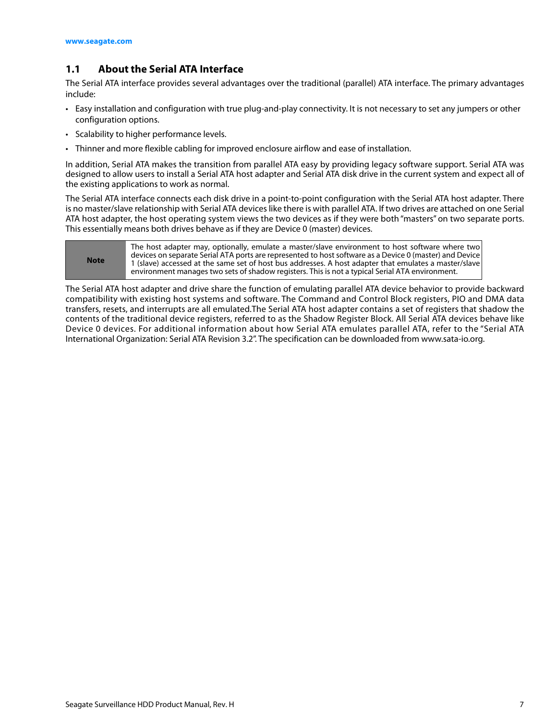#### <span id="page-7-0"></span>**1.1 About the Serial ATA Interface**

The Serial ATA interface provides several advantages over the traditional (parallel) ATA interface. The primary advantages include:

- Easy installation and configuration with true plug-and-play connectivity. It is not necessary to set any jumpers or other configuration options.
- Scalability to higher performance levels.
- Thinner and more flexible cabling for improved enclosure airflow and ease of installation.

In addition, Serial ATA makes the transition from parallel ATA easy by providing legacy software support. Serial ATA was designed to allow users to install a Serial ATA host adapter and Serial ATA disk drive in the current system and expect all of the existing applications to work as normal.

The Serial ATA interface connects each disk drive in a point-to-point configuration with the Serial ATA host adapter. There is no master/slave relationship with Serial ATA devices like there is with parallel ATA. If two drives are attached on one Serial ATA host adapter, the host operating system views the two devices as if they were both "masters" on two separate ports. This essentially means both drives behave as if they are Device 0 (master) devices.

| <b>Note</b> | The host adapter may, optionally, emulate a master/slave environment to host software where two<br>devices on separate Serial ATA ports are represented to host software as a Device 0 (master) and Device<br>1 (slave) accessed at the same set of host bus addresses. A host adapter that emulates a master/slave<br>environment manages two sets of shadow registers. This is not a typical Serial ATA environment. |
|-------------|------------------------------------------------------------------------------------------------------------------------------------------------------------------------------------------------------------------------------------------------------------------------------------------------------------------------------------------------------------------------------------------------------------------------|
|-------------|------------------------------------------------------------------------------------------------------------------------------------------------------------------------------------------------------------------------------------------------------------------------------------------------------------------------------------------------------------------------------------------------------------------------|

The Serial ATA host adapter and drive share the function of emulating parallel ATA device behavior to provide backward compatibility with existing host systems and software. The Command and Control Block registers, PIO and DMA data transfers, resets, and interrupts are all emulated.The Serial ATA host adapter contains a set of registers that shadow the contents of the traditional device registers, referred to as the Shadow Register Block. All Serial ATA devices behave like Device 0 devices. For additional information about how Serial ATA emulates parallel ATA, refer to the "Serial ATA International Organization: Serial ATA Revision 3.2". The specification can be downloaded from www.sata-io.org.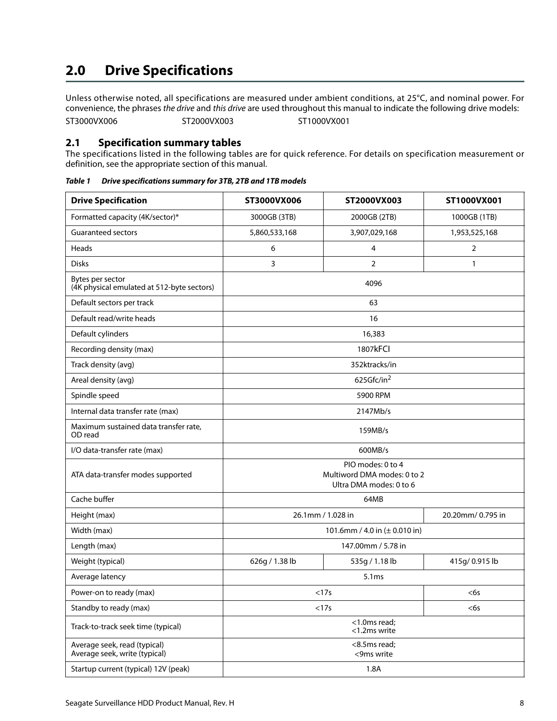# <span id="page-8-0"></span>**2.0 Drive Specifications**

Unless otherwise noted, all specifications are measured under ambient conditions, at 25°C, and nominal power. For convenience, the phrases the drive and this drive are used throughout this manual to indicate the following drive models: ST3000VX006 ST2000VX003 ST1000VX001

#### <span id="page-8-1"></span>**2.1 Specification summary tables**

The specifications listed in the following tables are for quick reference. For details on specification measurement or definition, see the appropriate section of this manual.

| <b>Drive Specification</b>                                     | ST3000VX006                                                                 | ST2000VX003    | ST1000VX001      |  |  |
|----------------------------------------------------------------|-----------------------------------------------------------------------------|----------------|------------------|--|--|
| Formatted capacity (4K/sector)*                                | 3000GB (3TB)                                                                | 2000GB (2TB)   | 1000GB (1TB)     |  |  |
| <b>Guaranteed sectors</b>                                      | 5,860,533,168                                                               | 3,907,029,168  | 1,953,525,168    |  |  |
| Heads                                                          | 6                                                                           | 4              | 2                |  |  |
| <b>Disks</b>                                                   | 3                                                                           | $\overline{2}$ | $\mathbf{1}$     |  |  |
| Bytes per sector<br>(4K physical emulated at 512-byte sectors) |                                                                             | 4096           |                  |  |  |
| Default sectors per track                                      |                                                                             | 63             |                  |  |  |
| Default read/write heads                                       |                                                                             | 16             |                  |  |  |
| Default cylinders                                              |                                                                             | 16,383         |                  |  |  |
| Recording density (max)                                        |                                                                             | 1807kFCI       |                  |  |  |
| Track density (avg)                                            |                                                                             | 352ktracks/in  |                  |  |  |
| Areal density (avg)                                            |                                                                             | 625Gfc/in $^2$ |                  |  |  |
| Spindle speed                                                  |                                                                             | 5900 RPM       |                  |  |  |
| Internal data transfer rate (max)                              | 2147Mb/s                                                                    |                |                  |  |  |
| Maximum sustained data transfer rate,<br>OD read               | 159MB/s                                                                     |                |                  |  |  |
| I/O data-transfer rate (max)                                   |                                                                             | 600MB/s        |                  |  |  |
| ATA data-transfer modes supported                              | PIO modes: 0 to 4<br>Multiword DMA modes: 0 to 2<br>Ultra DMA modes: 0 to 6 |                |                  |  |  |
| Cache buffer                                                   |                                                                             | 64MB           |                  |  |  |
| Height (max)                                                   | 26.1mm / 1.028 in                                                           |                | 20.20mm/0.795 in |  |  |
| Width (max)                                                    | 101.6mm / 4.0 in (± 0.010 in)                                               |                |                  |  |  |
| Length (max)                                                   | 147.00mm / 5.78 in                                                          |                |                  |  |  |
| Weight (typical)                                               | 626g / 1.38 lb                                                              | 535g / 1.18 lb | 415g/ 0.915 lb   |  |  |
| Average latency                                                | 5.1ms                                                                       |                |                  |  |  |
| Power-on to ready (max)                                        | <17s                                                                        |                | <6s              |  |  |
| Standby to ready (max)                                         | <17s                                                                        |                | $<$ 6s           |  |  |
| Track-to-track seek time (typical)                             | <1.0ms read;<br><1.2ms write                                                |                |                  |  |  |
| Average seek, read (typical)<br>Average seek, write (typical)  | <8.5ms read;<br><9ms write                                                  |                |                  |  |  |
| Startup current (typical) 12V (peak)                           | 1.8A                                                                        |                |                  |  |  |

*Table 1 Drive specifications summary for 3TB, 2TB and 1TB models*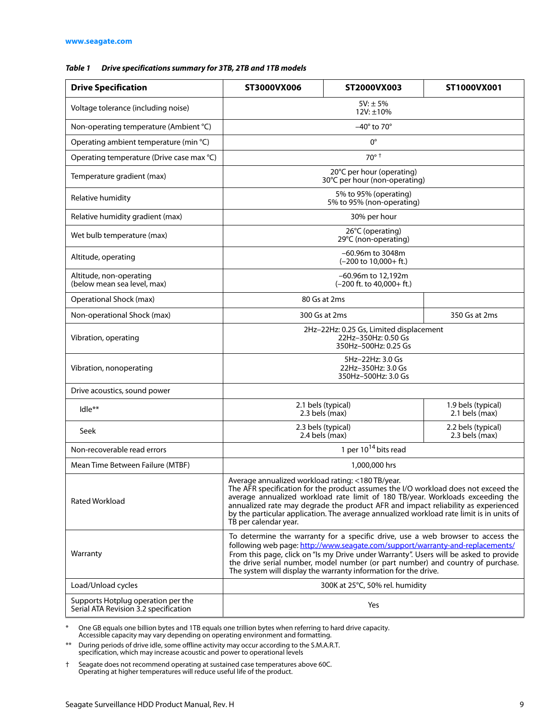#### *Table 1 Drive specifications summary for 3TB, 2TB and 1TB models*

| <b>Drive Specification</b>                                                  | ST3000VX006                                                                                                                                                                                                                                                                                                                                                                                                                         | ST2000VX003                                                  | ST1000VX001                          |  |
|-----------------------------------------------------------------------------|-------------------------------------------------------------------------------------------------------------------------------------------------------------------------------------------------------------------------------------------------------------------------------------------------------------------------------------------------------------------------------------------------------------------------------------|--------------------------------------------------------------|--------------------------------------|--|
| Voltage tolerance (including noise)                                         | $5V: \pm 5%$<br>12V: ±10%                                                                                                                                                                                                                                                                                                                                                                                                           |                                                              |                                      |  |
| Non-operating temperature (Ambient °C)                                      |                                                                                                                                                                                                                                                                                                                                                                                                                                     | $-40^\circ$ to 70 $^\circ$                                   |                                      |  |
| Operating ambient temperature (min °C)                                      |                                                                                                                                                                                                                                                                                                                                                                                                                                     | $0^{\circ}$                                                  |                                      |  |
| Operating temperature (Drive case max °C)                                   |                                                                                                                                                                                                                                                                                                                                                                                                                                     | $70^\circ$ <sup>+</sup>                                      |                                      |  |
| Temperature gradient (max)                                                  | 20°C per hour (operating)<br>30°C per hour (non-operating)                                                                                                                                                                                                                                                                                                                                                                          |                                                              |                                      |  |
| Relative humidity                                                           | 5% to 95% (operating)<br>5% to 95% (non-operating)                                                                                                                                                                                                                                                                                                                                                                                  |                                                              |                                      |  |
| Relative humidity gradient (max)                                            | 30% per hour                                                                                                                                                                                                                                                                                                                                                                                                                        |                                                              |                                      |  |
| Wet bulb temperature (max)                                                  |                                                                                                                                                                                                                                                                                                                                                                                                                                     | 26°C (operating)<br>29°C (non-operating)                     |                                      |  |
| Altitude, operating                                                         |                                                                                                                                                                                                                                                                                                                                                                                                                                     | -60.96m to 3048m<br>$(-200 \text{ to } 10,000 + \text{ft.})$ |                                      |  |
| Altitude, non-operating<br>(below mean sea level, max)                      |                                                                                                                                                                                                                                                                                                                                                                                                                                     | –60.96m to 12,192m<br>$(-200$ ft. to $40,000+$ ft.)          |                                      |  |
| Operational Shock (max)                                                     |                                                                                                                                                                                                                                                                                                                                                                                                                                     | 80 Gs at 2ms                                                 |                                      |  |
| Non-operational Shock (max)                                                 |                                                                                                                                                                                                                                                                                                                                                                                                                                     | 300 Gs at 2ms                                                | 350 Gs at 2ms                        |  |
| Vibration, operating                                                        | 2Hz-22Hz: 0.25 Gs, Limited displacement<br>22Hz-350Hz: 0.50 Gs<br>350Hz-500Hz: 0.25 Gs                                                                                                                                                                                                                                                                                                                                              |                                                              |                                      |  |
| Vibration, nonoperating                                                     | 5Hz-22Hz: 3.0 Gs<br>22Hz-350Hz: 3.0 Gs<br>350Hz-500Hz: 3.0 Gs                                                                                                                                                                                                                                                                                                                                                                       |                                                              |                                      |  |
| Drive acoustics, sound power                                                |                                                                                                                                                                                                                                                                                                                                                                                                                                     |                                                              |                                      |  |
| Idle**                                                                      | 2.1 bels (typical)<br>2.3 bels (max)                                                                                                                                                                                                                                                                                                                                                                                                |                                                              | 1.9 bels (typical)<br>2.1 bels (max) |  |
| Seek                                                                        | 2.3 bels (typical)<br>$2.4$ bels (max)                                                                                                                                                                                                                                                                                                                                                                                              |                                                              | 2.2 bels (typical)<br>2.3 bels (max) |  |
| Non-recoverable read errors                                                 | 1 per $10^{14}$ bits read                                                                                                                                                                                                                                                                                                                                                                                                           |                                                              |                                      |  |
| Mean Time Between Failure (MTBF)                                            | 1,000,000 hrs                                                                                                                                                                                                                                                                                                                                                                                                                       |                                                              |                                      |  |
| <b>Rated Workload</b>                                                       | Average annualized workload rating: <180 TB/year.<br>The AFR specification for the product assumes the I/O workload does not exceed the<br>average annualized workload rate limit of 180 TB/year. Workloads exceeding the<br>annualized rate may degrade the product AFR and impact reliability as experienced<br>by the particular application. The average annualized workload rate limit is in units of<br>TB per calendar year. |                                                              |                                      |  |
| Warranty                                                                    | To determine the warranty for a specific drive, use a web browser to access the<br>following web page: http://www.seagate.com/support/warranty-and-replacements/<br>From this page, click on "Is my Drive under Warranty". Users will be asked to provide<br>the drive serial number, model number (or part number) and country of purchase.<br>The system will display the warranty information for the drive.                     |                                                              |                                      |  |
| Load/Unload cycles                                                          | 300K at 25°C, 50% rel. humidity                                                                                                                                                                                                                                                                                                                                                                                                     |                                                              |                                      |  |
| Supports Hotplug operation per the<br>Serial ATA Revision 3.2 specification | Yes                                                                                                                                                                                                                                                                                                                                                                                                                                 |                                                              |                                      |  |

\* One GB equals one billion bytes and 1TB equals one trillion bytes when referring to hard drive capacity. Accessible capacity may vary depending on operating environment and formatting.

\*\* During periods of drive idle, some offline activity may occur according to the S.M.A.R.T. specification, which may increase acoustic and power to operational levels

† Seagate does not recommend operating at sustained case temperatures above 60C. Operating at higher temperatures will reduce useful life of the product.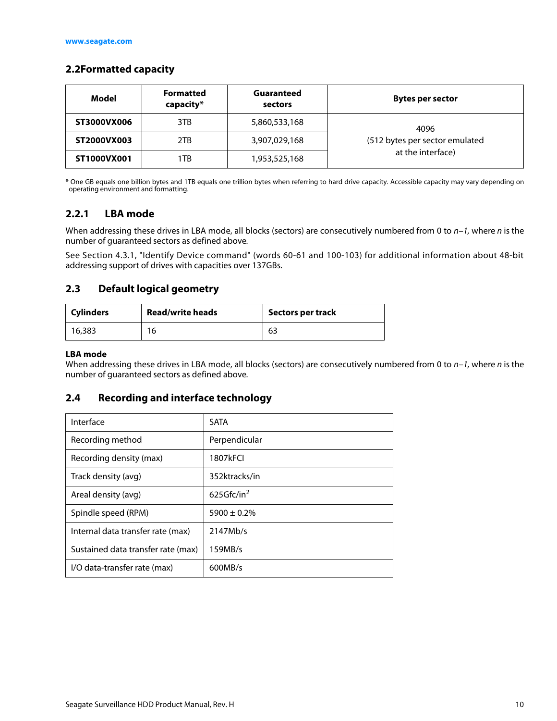#### <span id="page-10-0"></span>**2.2Formatted capacity**

| Model       | <b>Formatted</b><br>capacity* | Guaranteed<br>sectors | Bytes per sector               |  |
|-------------|-------------------------------|-----------------------|--------------------------------|--|
| ST3000VX006 | 3TB                           | 5,860,533,168         | 4096                           |  |
| ST2000VX003 | 2TB                           | 3,907,029,168         | (512 bytes per sector emulated |  |
| ST1000VX001 | 1TB                           | 1,953,525,168         | at the interface)              |  |

\* One GB equals one billion bytes and 1TB equals one trillion bytes when referring to hard drive capacity. Accessible capacity may vary depending on operating environment and formatting.

#### <span id="page-10-1"></span>**2.2.1 LBA mode**

When addressing these drives in LBA mode, all blocks (sectors) are consecutively numbered from 0 to  $n-1$ , where n is the number of guaranteed sectors as defined above.

See [Section 4.3.1, "Identify Device command"](#page-29-0) (words 60-61 and 100-103) for additional information about 48-bit addressing support of drives with capacities over 137GBs.

#### <span id="page-10-2"></span>**2.3 Default logical geometry**

| <b>Cylinders</b> | <b>Read/write heads</b> | <b>Sectors per track</b> |
|------------------|-------------------------|--------------------------|
| 16,383           | 16                      | 63                       |

#### **LBA mode**

When addressing these drives in LBA mode, all blocks (sectors) are consecutively numbered from 0 to  $n-1$ , where n is the number of guaranteed sectors as defined above.

#### <span id="page-10-3"></span>**2.4 Recording and interface technology**

| Interface                          | <b>SATA</b>      |
|------------------------------------|------------------|
| Recording method                   | Perpendicular    |
| Recording density (max)            | 1807kFCI         |
| Track density (avg)                | 352ktracks/in    |
| Areal density (avg)                | 625Gfc/in $2$    |
| Spindle speed (RPM)                | $5900 \pm 0.2\%$ |
| Internal data transfer rate (max)  | 2147Mb/s         |
| Sustained data transfer rate (max) | 159MB/s          |
| I/O data-transfer rate (max)       | 600MB/s          |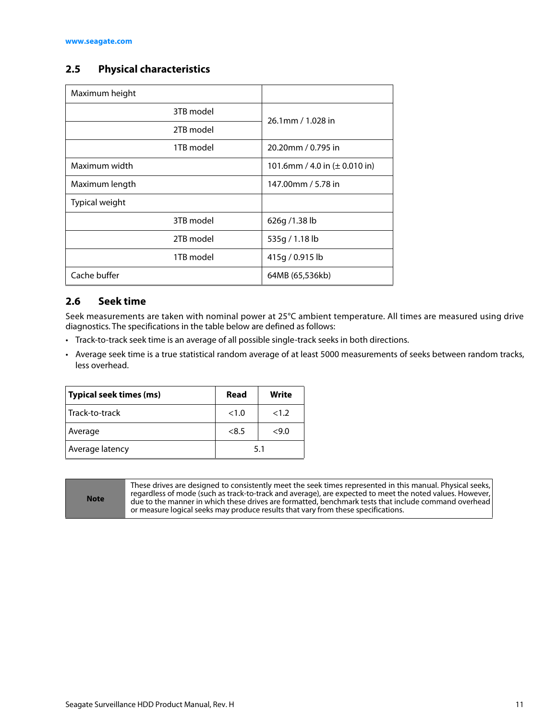#### <span id="page-11-0"></span>**2.5 Physical characteristics**

| Maximum height |                                           |  |
|----------------|-------------------------------------------|--|
| 3TB model      | 26.1mm / 1.028 in                         |  |
| 2TB model      |                                           |  |
| 1TB model      | 20.20mm / 0.795 in                        |  |
| Maximum width  | 101.6mm / 4.0 in $(\pm 0.010 \text{ in})$ |  |
| Maximum length | 147.00mm / 5.78 in                        |  |
| Typical weight |                                           |  |
| 3TB model      | 626g/1.38lb                               |  |
| 2TB model      | 535g / 1.18 lb                            |  |
| 1TB model      | 415g / 0.915 lb                           |  |
| Cache buffer   | 64MB (65,536kb)                           |  |

#### <span id="page-11-1"></span>**2.6 Seek time**

Seek measurements are taken with nominal power at 25°C ambient temperature. All times are measured using drive diagnostics. The specifications in the table below are defined as follows:

- Track-to-track seek time is an average of all possible single-track seeks in both directions.
- Average seek time is a true statistical random average of at least 5000 measurements of seeks between random tracks, less overhead.

| Typical seek times (ms) | Read  | Write |
|-------------------------|-------|-------|
| Track-to-track          | <1.0  | <1.2  |
| Average                 | < 8.5 | <9.0  |
| Average latency         | 5.1   |       |

**Note**

These drives are designed to consistently meet the seek times represented in this manual. Physical seeks, regardless of mode (such as track-to-track and average), are expected to meet the noted values. However, due to the manner in which these drives are formatted, benchmark tests that include command overhead or measure logical seeks may produce results that vary from these specifications.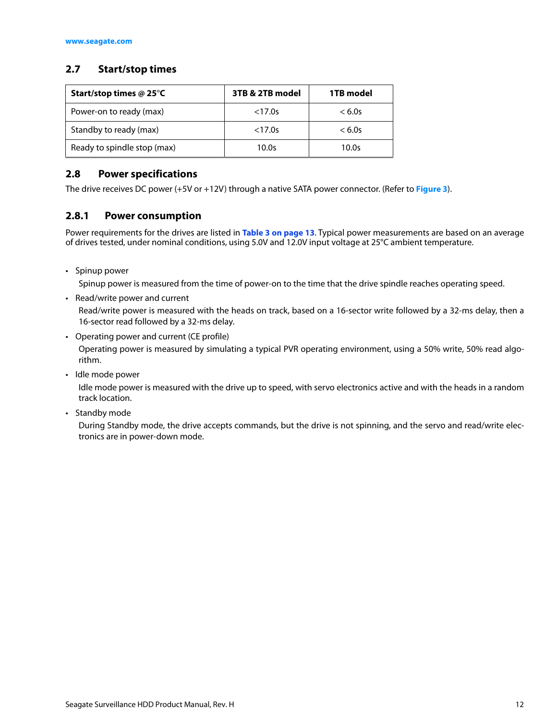#### <span id="page-12-0"></span>**2.7 Start/stop times**

| Start/stop times @ 25 $\degree$ C | 3TB & 2TB model | 1TB model |
|-----------------------------------|-----------------|-----------|
| Power-on to ready (max)           | < 17.0s         | < 6.0s    |
| Standby to ready (max)            | < 17.0s         | < 6.0s    |
| Ready to spindle stop (max)       | 10.0s           | 10.0s     |

#### <span id="page-12-1"></span>**2.8 Power specifications**

The drive receives DC power (+5V or +12V) through a native SATA power connector. (Refer to **[Figure 3](#page-22-4)**).

#### <span id="page-12-2"></span>**2.8.1 Power consumption**

Power requirements for the drives are listed in **[Table 3 on page 13](#page-13-0)**. Typical power measurements are based on an average of drives tested, under nominal conditions, using 5.0V and 12.0V input voltage at 25°C ambient temperature.

• Spinup power

Spinup power is measured from the time of power-on to the time that the drive spindle reaches operating speed.

• Read/write power and current

Read/write power is measured with the heads on track, based on a 16-sector write followed by a 32-ms delay, then a 16-sector read followed by a 32-ms delay.

• Operating power and current (CE profile)

Operating power is measured by simulating a typical PVR operating environment, using a 50% write, 50% read algorithm.

• Idle mode power

Idle mode power is measured with the drive up to speed, with servo electronics active and with the heads in a random track location.

• Standby mode

During Standby mode, the drive accepts commands, but the drive is not spinning, and the servo and read/write electronics are in power-down mode.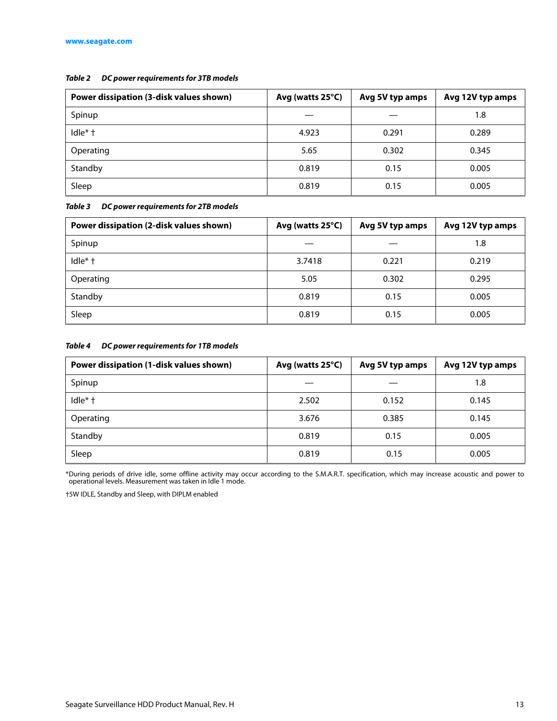#### *Table 2 DC power requirements for 3TB models*

| Power dissipation (3-disk values shown) | Avg (watts 25°C) | Avg 5V typ amps | Avg 12V typ amps |
|-----------------------------------------|------------------|-----------------|------------------|
| Spinup                                  |                  |                 | 1.8              |
| Idle* +                                 | 4.923            | 0.291           | 0.289            |
| Operating                               | 5.65             | 0.302           | 0.345            |
| Standby                                 | 0.819            | 0.15            | 0.005            |
| Sleep                                   | 0.819            | 0.15            | 0.005            |

<span id="page-13-0"></span>*Table 3 DC power requirements for 2TB models*

| Power dissipation (2-disk values shown) | Avg (watts 25°C) | Avg 5V typ amps | Avg 12V typ amps |
|-----------------------------------------|------------------|-----------------|------------------|
| Spinup                                  |                  |                 | 1.8              |
| $Idle* +$                               | 3.7418           | 0.221           | 0.219            |
| Operating                               | 5.05             | 0.302           | 0.295            |
| Standby                                 | 0.819            | 0.15            | 0.005            |
| Sleep                                   | 0.819            | 0.15            | 0.005            |

#### *Table 4 DC power requirements for 1TB models*

| Power dissipation (1-disk values shown) | Avg (watts 25°C) | Avg 5V typ amps | Avg 12V typ amps |
|-----------------------------------------|------------------|-----------------|------------------|
| Spinup                                  |                  |                 | 1.8              |
| $Idle* +$                               | 2.502            | 0.152           | 0.145            |
| Operating                               | 3.676            | 0.385           | 0.145            |
| Standby                                 | 0.819            | 0.15            | 0.005            |
| Sleep                                   | 0.819            | 0.15            | 0.005            |

\*During periods of drive idle, some offline activity may occur according to the S.M.A.R.T. specification, which may increase acoustic and power to operational levels. Measurement was taken in Idle 1 mode.

†5W IDLE, Standby and Sleep, with DIPLM enabled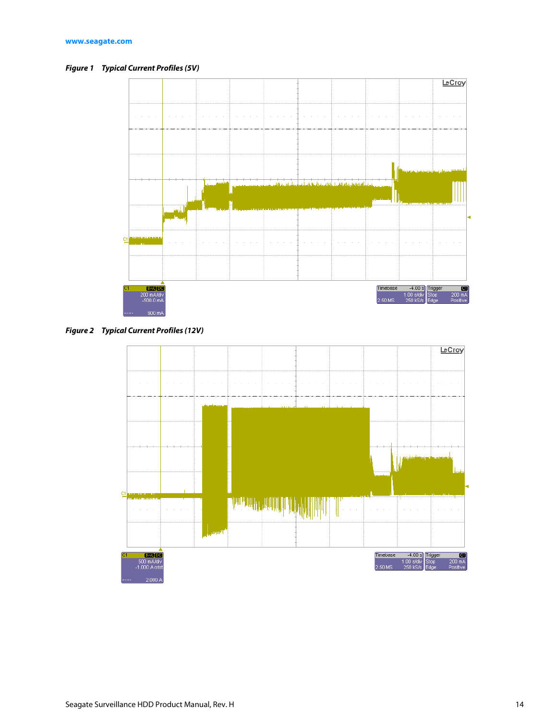<span id="page-14-0"></span>*Figure 1 Typical Current Profiles (5V)*



<span id="page-14-1"></span>*Figure 2 Typical Current Profiles (12V)*

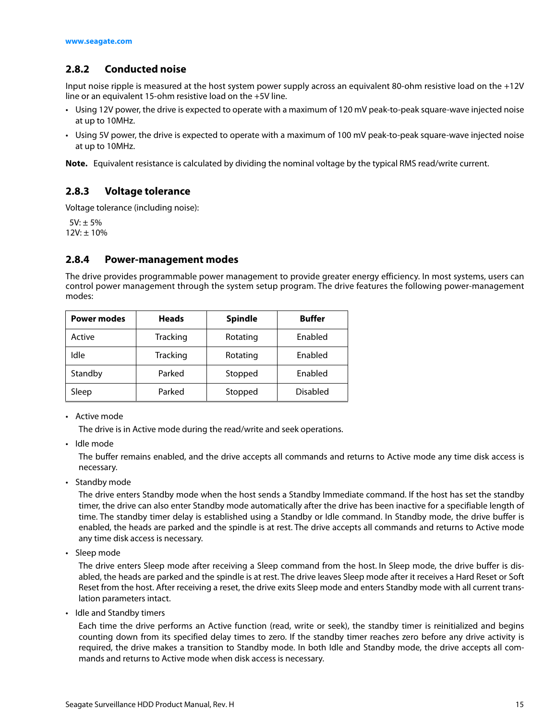#### <span id="page-15-0"></span>**2.8.2 Conducted noise**

Input noise ripple is measured at the host system power supply across an equivalent 80-ohm resistive load on the +12V line or an equivalent 15-ohm resistive load on the +5V line.

- Using 12V power, the drive is expected to operate with a maximum of 120 mV peak-to-peak square-wave injected noise at up to 10MHz.
- Using 5V power, the drive is expected to operate with a maximum of 100 mV peak-to-peak square-wave injected noise at up to 10MHz.

**Note.** Equivalent resistance is calculated by dividing the nominal voltage by the typical RMS read/write current.

#### <span id="page-15-1"></span>**2.8.3 Voltage tolerance**

Voltage tolerance (including noise):

 $5V: \pm 5\%$  $12V: \pm 10\%$ 

#### <span id="page-15-2"></span>**2.8.4 Power-management modes**

The drive provides programmable power management to provide greater energy efficiency. In most systems, users can control power management through the system setup program. The drive features the following power-management modes:

| <b>Power modes</b> | <b>Heads</b>    | <b>Spindle</b> | <b>Buffer</b>   |
|--------------------|-----------------|----------------|-----------------|
| Active             | <b>Tracking</b> | Rotating       | Enabled         |
| Idle               | Tracking        | Rotating       | Enabled         |
| Standby            | Parked          | Stopped        | Enabled         |
| Sleep              | Parked          | Stopped        | <b>Disabled</b> |

• Active mode

The drive is in Active mode during the read/write and seek operations.

• Idle mode

The buffer remains enabled, and the drive accepts all commands and returns to Active mode any time disk access is necessary.

• Standby mode

The drive enters Standby mode when the host sends a Standby Immediate command. If the host has set the standby timer, the drive can also enter Standby mode automatically after the drive has been inactive for a specifiable length of time. The standby timer delay is established using a Standby or Idle command. In Standby mode, the drive buffer is enabled, the heads are parked and the spindle is at rest. The drive accepts all commands and returns to Active mode any time disk access is necessary.

• Sleep mode

The drive enters Sleep mode after receiving a Sleep command from the host. In Sleep mode, the drive buffer is disabled, the heads are parked and the spindle is at rest. The drive leaves Sleep mode after it receives a Hard Reset or Soft Reset from the host. After receiving a reset, the drive exits Sleep mode and enters Standby mode with all current translation parameters intact.

• Idle and Standby timers

Each time the drive performs an Active function (read, write or seek), the standby timer is reinitialized and begins counting down from its specified delay times to zero. If the standby timer reaches zero before any drive activity is required, the drive makes a transition to Standby mode. In both Idle and Standby mode, the drive accepts all commands and returns to Active mode when disk access is necessary.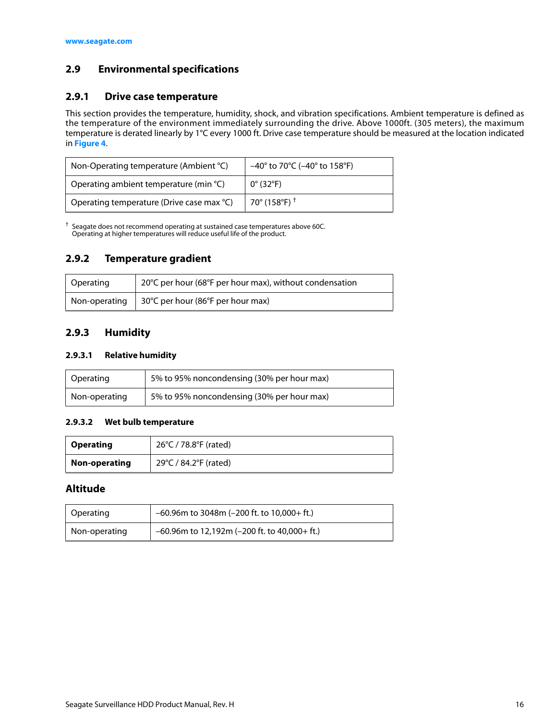#### <span id="page-16-0"></span>**2.9 Environmental specifications**

#### <span id="page-16-1"></span>**2.9.1 Drive case temperature**

This section provides the temperature, humidity, shock, and vibration specifications. Ambient temperature is defined as the temperature of the environment immediately surrounding the drive. Above 1000ft. (305 meters), the maximum temperature is derated linearly by 1°C every 1000 ft. Drive case temperature should be measured at the location indicated in **[Figure 4](#page-23-1)**.

| Non-Operating temperature (Ambient °C)    | $-40^{\circ}$ to 70°C ( $-40^{\circ}$ to 158°F) |
|-------------------------------------------|-------------------------------------------------|
| Operating ambient temperature (min °C)    | $0^{\circ}$ (32°F)                              |
| Operating temperature (Drive case max °C) | 70° (158°F) <sup>†</sup>                        |

 $\dagger$  Seagate does not recommend operating at sustained case temperatures above 60C. Operating at higher temperatures will reduce useful life of the product.

#### <span id="page-16-2"></span>**2.9.2 Temperature gradient**

| Operating | 20°C per hour (68°F per hour max), without condensation     |
|-----------|-------------------------------------------------------------|
|           | Non-operating   $30^{\circ}$ C per hour (86°F per hour max) |

#### <span id="page-16-3"></span>**2.9.3 Humidity**

#### **2.9.3.1 Relative humidity**

| Operating     | 5% to 95% noncondensing (30% per hour max) |
|---------------|--------------------------------------------|
| Non-operating | 5% to 95% noncondensing (30% per hour max) |

#### **2.9.3.2 Wet bulb temperature**

| <b>Operating</b> | 26°C / 78.8°F (rated) |
|------------------|-----------------------|
| Non-operating    | 29°C / 84.2°F (rated) |

#### **Altitude**

| Operating     | $-60.96$ m to 3048m (-200 ft. to 10,000+ ft.)   |
|---------------|-------------------------------------------------|
| Non-operating | $-60.96$ m to 12,192m (-200 ft. to 40,000+ ft.) |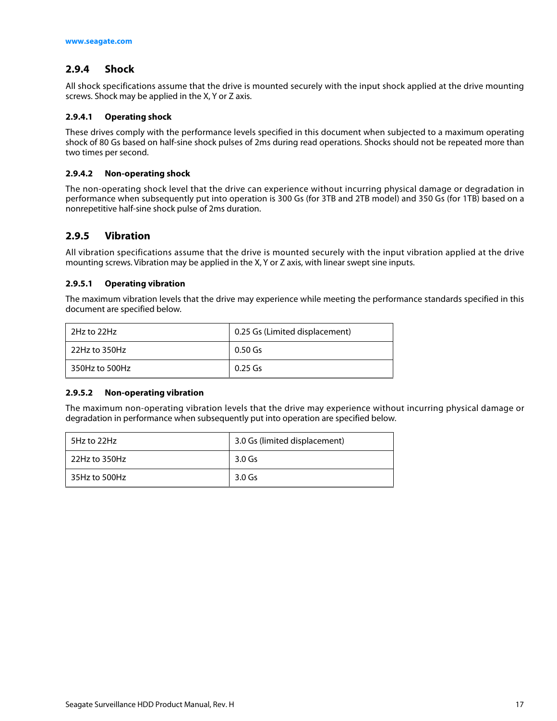#### <span id="page-17-0"></span>**2.9.4 Shock**

All shock specifications assume that the drive is mounted securely with the input shock applied at the drive mounting screws. Shock may be applied in the X, Y or Z axis.

#### **2.9.4.1 Operating shock**

These drives comply with the performance levels specified in this document when subjected to a maximum operating shock of 80 Gs based on half-sine shock pulses of 2ms during read operations. Shocks should not be repeated more than two times per second.

#### **2.9.4.2 Non-operating shock**

The non-operating shock level that the drive can experience without incurring physical damage or degradation in performance when subsequently put into operation is 300 Gs (for 3TB and 2TB model) and 350 Gs (for 1TB) based on a nonrepetitive half-sine shock pulse of 2ms duration.

#### <span id="page-17-1"></span>**2.9.5 Vibration**

All vibration specifications assume that the drive is mounted securely with the input vibration applied at the drive mounting screws. Vibration may be applied in the X, Y or Z axis, with linear swept sine inputs.

#### **2.9.5.1 Operating vibration**

The maximum vibration levels that the drive may experience while meeting the performance standards specified in this document are specified below.

| 2Hz to 22Hz      | 0.25 Gs (Limited displacement) |
|------------------|--------------------------------|
| $22$ Hz to 350Hz | 0.50 Gs                        |
| 350Hz to 500Hz   | 0.25 Gs                        |

#### **2.9.5.2 Non-operating vibration**

The maximum non-operating vibration levels that the drive may experience without incurring physical damage or degradation in performance when subsequently put into operation are specified below.

| 5Hz to 22Hz   | 3.0 Gs (limited displacement) |
|---------------|-------------------------------|
| 22Hz to 350Hz | 3.0 Gs                        |
| 35Hz to 500Hz | 3.0 Gs                        |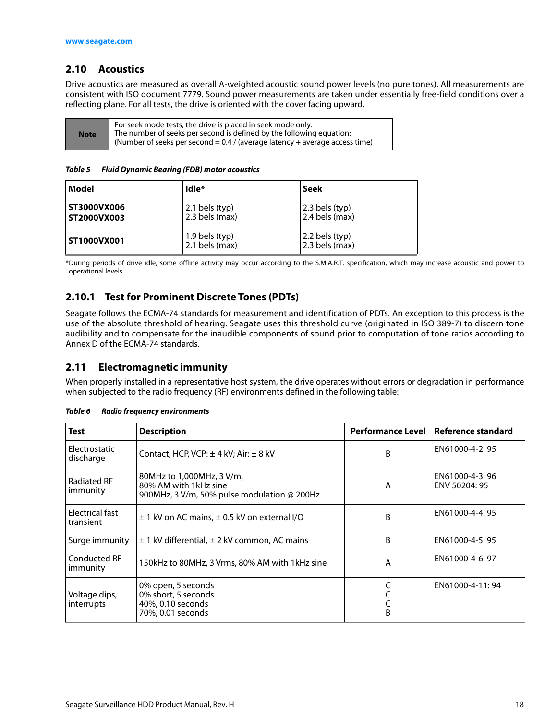#### <span id="page-18-0"></span>**2.10 Acoustics**

Drive acoustics are measured as overall A-weighted acoustic sound power levels (no pure tones). All measurements are consistent with ISO document 7779. Sound power measurements are taken under essentially free-field conditions over a reflecting plane. For all tests, the drive is oriented with the cover facing upward.

| <b>Note</b> | For seek mode tests, the drive is placed in seek mode only.<br>The number of seeks per second is defined by the following equation:<br>(Number of seeks per second = $0.4$ / (average latency + average access time) |
|-------------|----------------------------------------------------------------------------------------------------------------------------------------------------------------------------------------------------------------------|
|-------------|----------------------------------------------------------------------------------------------------------------------------------------------------------------------------------------------------------------------|

*Table 5 Fluid Dynamic Bearing (FDB) motor acoustics*

| Model                      | Idle <sup>*</sup>                  | Seek                               |
|----------------------------|------------------------------------|------------------------------------|
| ST3000VX006<br>ST2000VX003 | $2.1$ bels (typ)<br>2.3 bels (max) | 2.3 bels (typ)<br>2.4 bels (max)   |
| ST1000VX001                | 1.9 bels (typ)<br>$2.1$ bels (max) | 2.2 bels (typ)<br>$2.3$ bels (max) |

\*During periods of drive idle, some offline activity may occur according to the S.M.A.R.T. specification, which may increase acoustic and power to operational levels.

#### <span id="page-18-1"></span>**2.10.1 Test for Prominent Discrete Tones (PDTs)**

Seagate follows the ECMA-74 standards for measurement and identification of PDTs. An exception to this process is the use of the absolute threshold of hearing. Seagate uses this threshold curve (originated in ISO 389-7) to discern tone audibility and to compensate for the inaudible components of sound prior to computation of tone ratios according to Annex D of the ECMA-74 standards.

#### <span id="page-18-2"></span>**2.11 Electromagnetic immunity**

When properly installed in a representative host system, the drive operates without errors or degradation in performance when subjected to the radio frequency (RF) environments defined in the following table:

| <b>Test</b>                     | <b>Description</b>                                                                                | <b>Performance Level</b> | Reference standard              |
|---------------------------------|---------------------------------------------------------------------------------------------------|--------------------------|---------------------------------|
| Electrostatic<br>discharge      | Contact, HCP, VCP: $\pm$ 4 kV; Air: $\pm$ 8 kV                                                    | B                        | EN61000-4-2:95                  |
| <b>Radiated RF</b><br>immunity  | 80MHz to 1,000MHz, 3 V/m,<br>80% AM with 1kHz sine<br>900MHz, 3 V/m, 50% pulse modulation @ 200Hz | A                        | EN61000-4-3:96<br>ENV 50204: 95 |
| Electrical fast<br>transient    | $\pm$ 1 kV on AC mains, $\pm$ 0.5 kV on external I/O                                              | B                        | EN61000-4-4:95                  |
| Surge immunity                  | $\pm$ 1 kV differential, $\pm$ 2 kV common, AC mains                                              | B                        | EN61000-4-5:95                  |
| <b>Conducted RF</b><br>immunity | 150kHz to 80MHz, 3 Vrms, 80% AM with 1kHz sine                                                    | A                        | EN61000-4-6: 97                 |
| Voltage dips,<br>interrupts     | 0% open, 5 seconds<br>0% short, 5 seconds<br>40%, 0.10 seconds<br>70%, 0.01 seconds               | B                        | EN61000-4-11:94                 |

*Table 6 Radio frequency environments*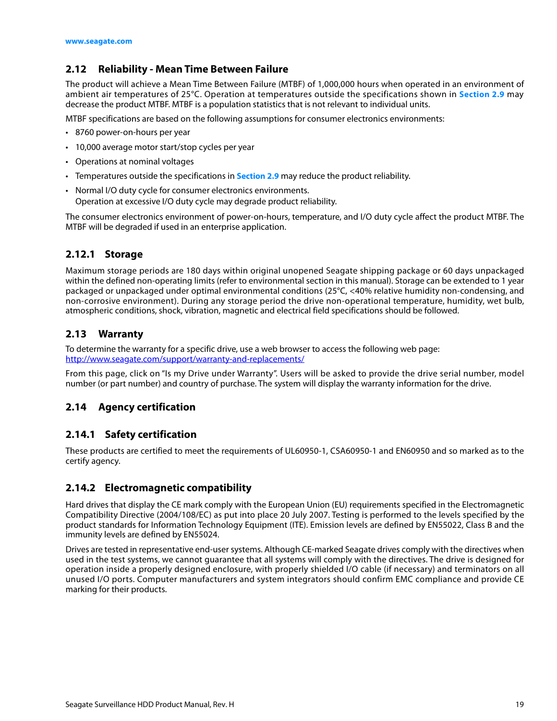#### <span id="page-19-0"></span>**2.12 Reliability - Mean Time Between Failure**

The product will achieve a Mean Time Between Failure (MTBF) of 1,000,000 hours when operated in an environment of ambient air temperatures of 25°C. Operation at temperatures outside the specifications shown in **[Section 2.9](#page-16-0)** may decrease the product MTBF. MTBF is a population statistics that is not relevant to individual units.

MTBF specifications are based on the following assumptions for consumer electronics environments:

- 8760 power-on-hours per year
- 10,000 average motor start/stop cycles per year
- Operations at nominal voltages
- Temperatures outside the specifications in **[Section 2.9](#page-16-0)** may reduce the product reliability.
- Normal I/O duty cycle for consumer electronics environments. Operation at excessive I/O duty cycle may degrade product reliability.

The consumer electronics environment of power-on-hours, temperature, and I/O duty cycle affect the product MTBF. The MTBF will be degraded if used in an enterprise application.

#### <span id="page-19-1"></span>**2.12.1 Storage**

Maximum storage periods are 180 days within original unopened Seagate shipping package or 60 days unpackaged within the defined non-operating limits (refer to environmental section in this manual). Storage can be extended to 1 year packaged or unpackaged under optimal environmental conditions (25°C, <40% relative humidity non-condensing, and non-corrosive environment). During any storage period the drive non-operational temperature, humidity, wet bulb, atmospheric conditions, shock, vibration, magnetic and electrical field specifications should be followed.

#### <span id="page-19-2"></span>**2.13 Warranty**

To determine the warranty for a specific drive, use a web browser to access the following web page: [http://www.seag](http://www.seagate.com/support/warranty-and-replacements/)ate.com/support/warranty-and-replacements/

From this page, click on "Is my Drive under Warranty". Users will be asked to provide the drive serial number, model number (or part number) and country of purchase. The system will display the warranty information for the drive.

#### <span id="page-19-3"></span>**2.14 Agency certification**

#### <span id="page-19-4"></span>**2.14.1 Safety certification**

These products are certified to meet the requirements of UL60950-1, CSA60950-1 and EN60950 and so marked as to the certify agency.

#### <span id="page-19-5"></span>**2.14.2 Electromagnetic compatibility**

Hard drives that display the CE mark comply with the European Union (EU) requirements specified in the Electromagnetic Compatibility Directive (2004/108/EC) as put into place 20 July 2007. Testing is performed to the levels specified by the product standards for Information Technology Equipment (ITE). Emission levels are defined by EN55022, Class B and the immunity levels are defined by EN55024.

Drives are tested in representative end-user systems. Although CE-marked Seagate drives comply with the directives when used in the test systems, we cannot guarantee that all systems will comply with the directives. The drive is designed for operation inside a properly designed enclosure, with properly shielded I/O cable (if necessary) and terminators on all unused I/O ports. Computer manufacturers and system integrators should confirm EMC compliance and provide CE marking for their products.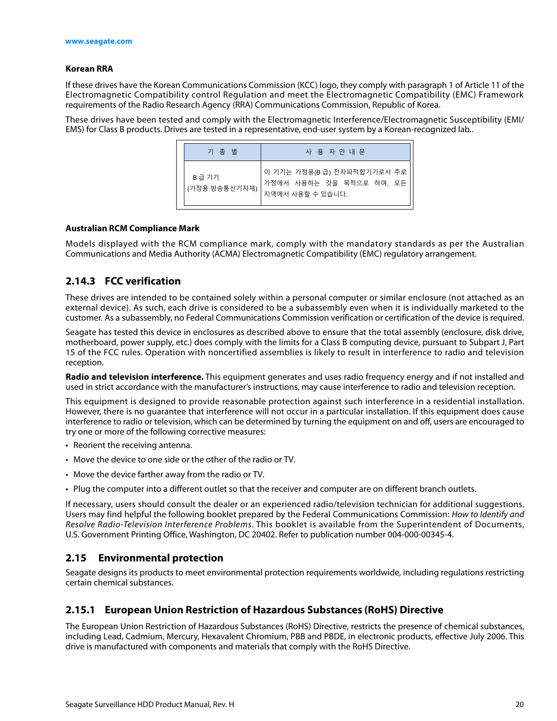#### **Korean RRA**

If these drives have the Korean Communications Commission (KCC) logo, they comply with paragraph 1 of Article 11 of the Electromagnetic Compatibility control Regulation and meet the Electromagnetic Compatibility (EMC) Framework requirements of the Radio Research Agency (RRA) Communications Commission, Republic of Korea.

These drives have been tested and comply with the Electromagnetic Interference/Electromagnetic Susceptibility (EMI/ EMS) for Class B products. Drives are tested in a representative, end-user system by a Korean-recognized lab..

| 기 종 별                  | 사 용 자 안 내 문                                                                |
|------------------------|----------------------------------------------------------------------------|
| B급 기기<br>(가정용 방송통신기자재) | 이 기기는 가정용(B급) 전자파적합기기로서 주로<br>가정에서 사용하는 것을 목적으로 하며, 모든<br>지역에서 사용할 수 있습니다. |

#### **Australian RCM Compliance Mark**

Models displayed with the RCM compliance mark, comply with the mandatory standards as per the Australian Communications and Media Authority (ACMA) Electromagnetic Compatibility (EMC) regulatory arrangement.

#### <span id="page-20-0"></span>**2.14.3 FCC verification**

These drives are intended to be contained solely within a personal computer or similar enclosure (not attached as an external device). As such, each drive is considered to be a subassembly even when it is individually marketed to the customer. As a subassembly, no Federal Communications Commission verification or certification of the device is required.

Seagate has tested this device in enclosures as described above to ensure that the total assembly (enclosure, disk drive, motherboard, power supply, etc.) does comply with the limits for a Class B computing device, pursuant to Subpart J, Part 15 of the FCC rules. Operation with noncertified assemblies is likely to result in interference to radio and television reception.

**Radio and television interference.** This equipment generates and uses radio frequency energy and if not installed and used in strict accordance with the manufacturer's instructions, may cause interference to radio and television reception.

This equipment is designed to provide reasonable protection against such interference in a residential installation. However, there is no guarantee that interference will not occur in a particular installation. If this equipment does cause interference to radio or television, which can be determined by turning the equipment on and off, users are encouraged to try one or more of the following corrective measures:

- Reorient the receiving antenna.
- Move the device to one side or the other of the radio or TV.
- Move the device farther away from the radio or TV.
- Plug the computer into a different outlet so that the receiver and computer are on different branch outlets.

If necessary, users should consult the dealer or an experienced radio/television technician for additional suggestions. Users may find helpful the following booklet prepared by the Federal Communications Commission: How to Identify and Resolve Radio-Television Interference Problems. This booklet is available from the Superintendent of Documents, U.S. Government Printing Office, Washington, DC 20402. Refer to publication number 004-000-00345-4.

#### <span id="page-20-1"></span>**2.15 Environmental protection**

Seagate designs its products to meet environmental protection requirements worldwide, including regulations restricting certain chemical substances.

#### <span id="page-20-2"></span>**2.15.1 European Union Restriction of Hazardous Substances (RoHS) Directive**

The European Union Restriction of Hazardous Substances (RoHS) Directive, restricts the presence of chemical substances, including Lead, Cadmium, Mercury, Hexavalent Chromium, PBB and PBDE, in electronic products, effective July 2006. This drive is manufactured with components and materials that comply with the RoHS Directive.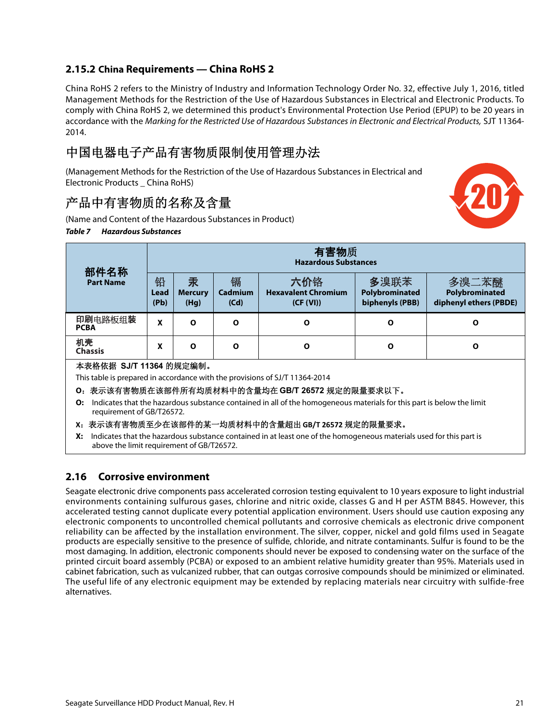#### <span id="page-21-0"></span>**2.15.2 China Requirements — China RoHS 2**

China RoHS 2 refers to the Ministry of Industry and Information Technology Order No. 32, effective July 1, 2016, titled Management Methods for the Restriction of the Use of Hazardous Substances in Electrical and Electronic Products. To comply with China RoHS 2, we determined this product's Environmental Protection Use Period (EPUP) to be 20 years in accordance with the Marking for the Restricted Use of Hazardous Substances in Electronic and Electrical Products, SJT 11364- 2014.

# 中国电器电子产品有害物质限制使用管理办法

(Management Methods for the Restriction of the Use of Hazardous Substances in Electrical and Electronic Products \_ China RoHS)

### 产品中有害物质的名称及含量

(Name and Content of the Hazardous Substances in Product)

#### *Table 7 Hazardous Substances*



| 部件名称                                                                                                                                                     | 11 舌物贝<br><b>Hazardous Substances</b>                                       |                             |                      |                                                |                                           |                                                   |
|----------------------------------------------------------------------------------------------------------------------------------------------------------|-----------------------------------------------------------------------------|-----------------------------|----------------------|------------------------------------------------|-------------------------------------------|---------------------------------------------------|
| <b>Part Name</b>                                                                                                                                         | 铅<br>Lead<br>(Pb)                                                           | 汞<br><b>Mercury</b><br>(Hg) | 镉<br>Cadmium<br>(Cd) | 六价铬<br><b>Hexavalent Chromium</b><br>(CF (VI)) | 多溴联苯<br>Polybrominated<br>biphenyls (PBB) | 多溴二苯醚<br>Polybrominated<br>diphenyl ethers (PBDE) |
| 印刷电路板组装<br><b>PCBA</b>                                                                                                                                   | X                                                                           | $\Omega$                    | $\Omega$             | Ο                                              | O                                         | Ο                                                 |
| 机壳<br><b>Chassis</b>                                                                                                                                     | x                                                                           | $\Omega$                    | $\Omega$             | O                                              | O                                         | Ο                                                 |
|                                                                                                                                                          | 本表格依据 SJ/T 11364 的规定编制。                                                     |                             |                      |                                                |                                           |                                                   |
|                                                                                                                                                          | This table is prepared in accordance with the provisions of SJ/T 11364-2014 |                             |                      |                                                |                                           |                                                   |
| O: 表示该有害物质在该部件所有均质材料中的含量均在 GB/T 26572 规定的限量要求以下。                                                                                                         |                                                                             |                             |                      |                                                |                                           |                                                   |
| Indicates that the hazardous substance contained in all of the homogeneous materials for this part is below the limit<br>O:<br>requirement of GB/T26572. |                                                                             |                             |                      |                                                |                                           |                                                   |
| X: 表示该有害物质至少在该部件的某一均质材料中的含量超出 GB/T 26572 规定的限量要求。                                                                                                        |                                                                             |                             |                      |                                                |                                           |                                                   |

有害物质

**X:** Indicates that the hazardous substance contained in at least one of the homogeneous materials used for this part is above the limit requirement of GB/T26572.

#### <span id="page-21-1"></span>**2.16 Corrosive environment**

Seagate electronic drive components pass accelerated corrosion testing equivalent to 10 years exposure to light industrial environments containing sulfurous gases, chlorine and nitric oxide, classes G and H per ASTM B845. However, this accelerated testing cannot duplicate every potential application environment. Users should use caution exposing any electronic components to uncontrolled chemical pollutants and corrosive chemicals as electronic drive component reliability can be affected by the installation environment. The silver, copper, nickel and gold films used in Seagate products are especially sensitive to the presence of sulfide, chloride, and nitrate contaminants. Sulfur is found to be the most damaging. In addition, electronic components should never be exposed to condensing water on the surface of the printed circuit board assembly (PCBA) or exposed to an ambient relative humidity greater than 95%. Materials used in cabinet fabrication, such as vulcanized rubber, that can outgas corrosive compounds should be minimized or eliminated. The useful life of any electronic equipment may be extended by replacing materials near circuitry with sulfide-free alternatives.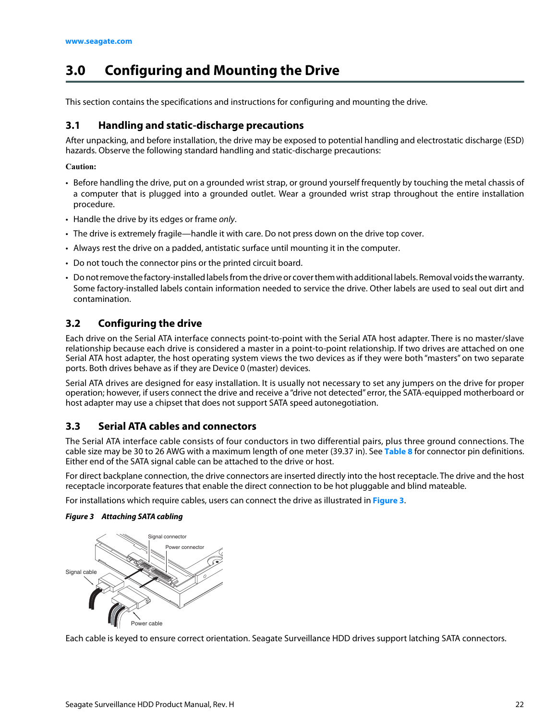# <span id="page-22-0"></span>**3.0 Configuring and Mounting the Drive**

This section contains the specifications and instructions for configuring and mounting the drive.

#### <span id="page-22-1"></span>**3.1 Handling and static-discharge precautions**

After unpacking, and before installation, the drive may be exposed to potential handling and electrostatic discharge (ESD) hazards. Observe the following standard handling and static-discharge precautions:

#### **Caution:**

- Before handling the drive, put on a grounded wrist strap, or ground yourself frequently by touching the metal chassis of a computer that is plugged into a grounded outlet. Wear a grounded wrist strap throughout the entire installation procedure.
- Handle the drive by its edges or frame only.
- The drive is extremely fragile—handle it with care. Do not press down on the drive top cover.
- Always rest the drive on a padded, antistatic surface until mounting it in the computer.
- Do not touch the connector pins or the printed circuit board.
- Do not remove the factory-installed labels from the drive or cover them with additional labels. Removal voids the warranty. Some factory-installed labels contain information needed to service the drive. Other labels are used to seal out dirt and contamination.

#### <span id="page-22-2"></span>**3.2 Configuring the drive**

Each drive on the Serial ATA interface connects point-to-point with the Serial ATA host adapter. There is no master/slave relationship because each drive is considered a master in a point-to-point relationship. If two drives are attached on one Serial ATA host adapter, the host operating system views the two devices as if they were both "masters" on two separate ports. Both drives behave as if they are Device 0 (master) devices.

Serial ATA drives are designed for easy installation. It is usually not necessary to set any jumpers on the drive for proper operation; however, if users connect the drive and receive a "drive not detected" error, the SATA-equipped motherboard or host adapter may use a chipset that does not support SATA speed autonegotiation.

#### <span id="page-22-3"></span>**3.3 Serial ATA cables and connectors**

The Serial ATA interface cable consists of four conductors in two differential pairs, plus three ground connections. The cable size may be 30 to 26 AWG with a maximum length of one meter (39.37 in). See **Table 8** for connector pin definitions. Either end of the SATA signal cable can be attached to the drive or host.

For direct backplane connection, the drive connectors are inserted directly into the host receptacle. The drive and the host receptacle incorporate features that enable the direct connection to be hot pluggable and blind mateable.

For installations which require cables, users can connect the drive as illustrated in **[Figure 3](#page-22-4)**.

#### <span id="page-22-4"></span>*Figure 3 Attaching SATA cabling*



Each cable is keyed to ensure correct orientation. Seagate Surveillance HDD drives support latching SATA connectors.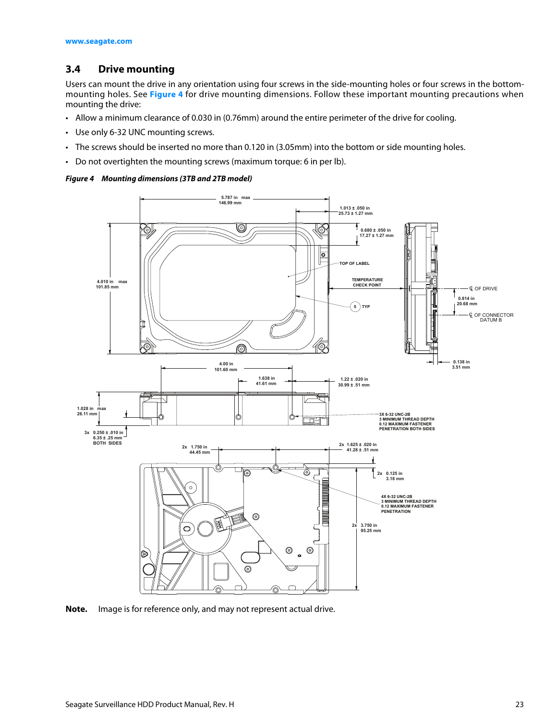#### <span id="page-23-0"></span>**3.4 Drive mounting**

Users can mount the drive in any orientation using four screws in the side-mounting holes or four screws in the bottommounting holes. See **[Figure 4](#page-23-1)** for drive mounting dimensions. Follow these important mounting precautions when mounting the drive:

- Allow a minimum clearance of 0.030 in (0.76mm) around the entire perimeter of the drive for cooling.
- Use only 6-32 UNC mounting screws.
- The screws should be inserted no more than 0.120 in (3.05mm) into the bottom or side mounting holes.
- Do not overtighten the mounting screws (maximum torque: 6 in per lb).

#### <span id="page-23-1"></span>*Figure 4 Mounting dimensions (3TB and 2TB model)*



**Note.** Image is for reference only, and may not represent actual drive.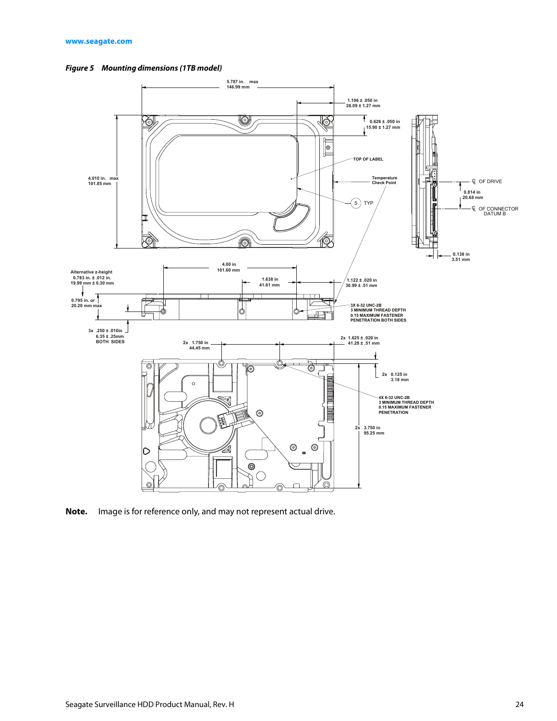<span id="page-24-0"></span>



**Note.** Image is for reference only, and may not represent actual drive.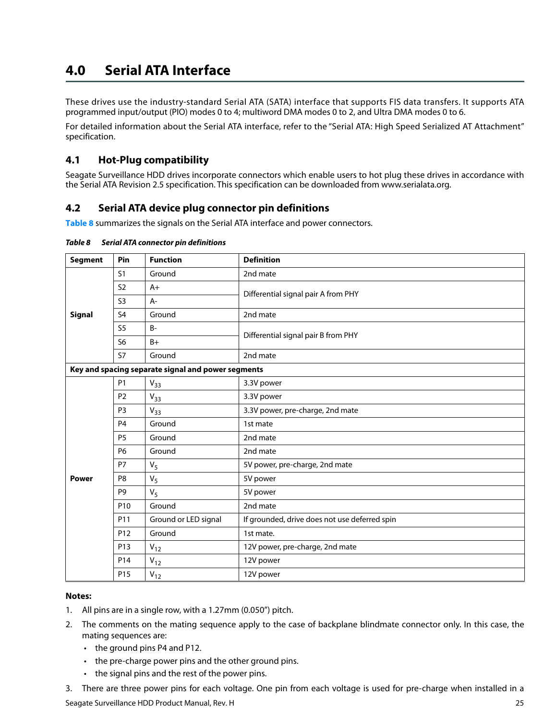## <span id="page-25-0"></span>**4.0 Serial ATA Interface**

These drives use the industry-standard Serial ATA (SATA) interface that supports FIS data transfers. It supports ATA programmed input/output (PIO) modes 0 to 4; multiword DMA modes 0 to 2, and Ultra DMA modes 0 to 6.

For detailed information about the Serial ATA interface, refer to the "Serial ATA: High Speed Serialized AT Attachment" specification.

#### <span id="page-25-1"></span>**4.1 Hot-Plug compatibility**

Seagate Surveillance HDD drives incorporate connectors which enable users to hot plug these drives in accordance with the Serial ATA Revision 2.5 specification. This specification can be downloaded from www.serialata.org.

#### <span id="page-25-2"></span>**4.2 Serial ATA device plug connector pin definitions**

**Table 8** summarizes the signals on the Serial ATA interface and power connectors.

| <b>Segment</b> | Pin             | <b>Function</b>                                    | <b>Definition</b>                             |
|----------------|-----------------|----------------------------------------------------|-----------------------------------------------|
|                | S <sub>1</sub>  | Ground                                             | 2nd mate                                      |
|                | S <sub>2</sub>  | $A+$                                               | Differential signal pair A from PHY           |
|                | S <sub>3</sub>  | $A-$                                               |                                               |
| <b>Signal</b>  | S <sub>4</sub>  | Ground                                             | 2nd mate                                      |
|                | S <sub>5</sub>  | $B -$                                              | Differential signal pair B from PHY           |
|                | S6              | $B+$                                               |                                               |
|                | <b>S7</b>       | Ground                                             | 2nd mate                                      |
|                |                 | Key and spacing separate signal and power segments |                                               |
|                | <b>P1</b>       | $V_{33}$                                           | 3.3V power                                    |
|                | P <sub>2</sub>  | $V_{33}$                                           | 3.3V power                                    |
|                | P <sub>3</sub>  | $V_{33}$                                           | 3.3V power, pre-charge, 2nd mate              |
|                | P <sub>4</sub>  | Ground                                             | 1st mate                                      |
|                | P <sub>5</sub>  | Ground                                             | 2nd mate                                      |
|                | <b>P6</b>       | Ground                                             | 2nd mate                                      |
|                | <b>P7</b>       | $V_5$                                              | 5V power, pre-charge, 2nd mate                |
| <b>Power</b>   | P <sub>8</sub>  | $V_5$                                              | 5V power                                      |
|                | P <sub>9</sub>  | $V_5$                                              | 5V power                                      |
|                | P <sub>10</sub> | Ground                                             | 2nd mate                                      |
|                | P11             | Ground or LED signal                               | If grounded, drive does not use deferred spin |
|                | P <sub>12</sub> | Ground                                             | 1st mate.                                     |
|                | P <sub>13</sub> | $V_{12}$                                           | 12V power, pre-charge, 2nd mate               |
|                | P14             | $V_{12}$                                           | 12V power                                     |
|                | P <sub>15</sub> | $V_{12}$                                           | 12V power                                     |

*Table 8 Serial ATA connector pin definitions* 

#### **Notes:**

- 1. All pins are in a single row, with a 1.27mm (0.050") pitch.
- 2. The comments on the mating sequence apply to the case of backplane blindmate connector only. In this case, the mating sequences are:
	- the ground pins P4 and P12.
	- the pre-charge power pins and the other ground pins.
	- the signal pins and the rest of the power pins.

3. There are three power pins for each voltage. One pin from each voltage is used for pre-charge when installed in a

Seagate Surveillance HDD Product Manual, Rev. H 25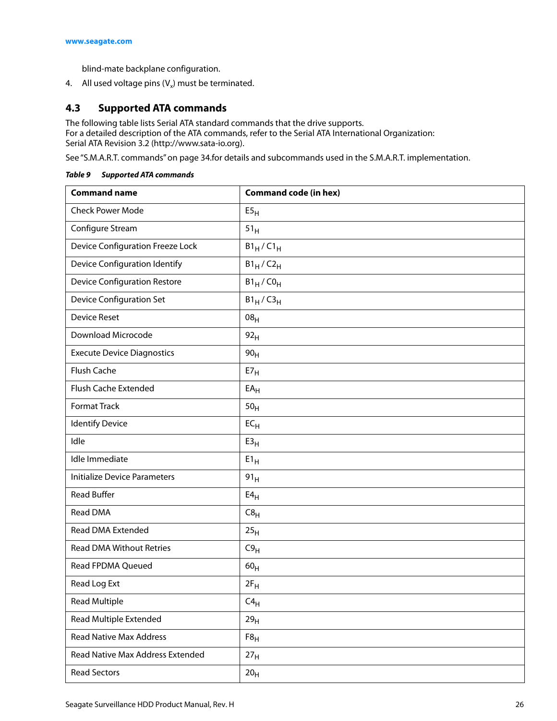blind-mate backplane configuration.

4. All used voltage pins  $(V_x)$  must be terminated.

#### <span id="page-26-0"></span>**4.3 Supported ATA commands**

The following table lists Serial ATA standard commands that the drive supports. For a detailed description of the ATA commands, refer to the Serial ATA International Organization: Serial ATA Revision 3.2 (http://www.sata-io.org).

[See "S.M.A.R.T. commands" on page 34.f](#page-34-0)or details and subcommands used in the S.M.A.R.T. implementation.

| <b>Command name</b>                     | <b>Command code (in hex)</b> |
|-----------------------------------------|------------------------------|
| <b>Check Power Mode</b>                 | E5 <sub>H</sub>              |
| Configure Stream                        | 51 <sub>H</sub>              |
| <b>Device Configuration Freeze Lock</b> | $B1_H/C1_H$                  |
| Device Configuration Identify           | $B1_H/C2_H$                  |
| <b>Device Configuration Restore</b>     | $B1_H$ / $CO_H$              |
| <b>Device Configuration Set</b>         | $B1_H/C3_H$                  |
| <b>Device Reset</b>                     | 08 <sub>H</sub>              |
| Download Microcode                      | 92 <sub>H</sub>              |
| <b>Execute Device Diagnostics</b>       | 90 <sub>H</sub>              |
| Flush Cache                             | E7 <sub>H</sub>              |
| Flush Cache Extended                    | $EA_{H}$                     |
| <b>Format Track</b>                     | 50 <sub>H</sub>              |
| <b>Identify Device</b>                  | $EC_{H}$                     |
| Idle                                    | E3 <sub>H</sub>              |
| Idle Immediate                          | $E1_H$                       |
| <b>Initialize Device Parameters</b>     | 91 <sub>H</sub>              |
| <b>Read Buffer</b>                      | $E4_H$                       |
| Read DMA                                | C8 <sub>H</sub>              |
| Read DMA Extended                       | 25 <sub>H</sub>              |
| <b>Read DMA Without Retries</b>         | C9 <sub>H</sub>              |
| Read FPDMA Queued                       | 60 <sub>H</sub>              |
| Read Log Ext                            | $2F_H$                       |
| <b>Read Multiple</b>                    | $\textsf{C4}_{\textsf{H}}$   |
| Read Multiple Extended                  | 29 <sub>H</sub>              |
| <b>Read Native Max Address</b>          | $F8_H$                       |
| Read Native Max Address Extended        | 27 <sub>H</sub>              |

*Table 9 Supported ATA commands* 

Read Sectors 20H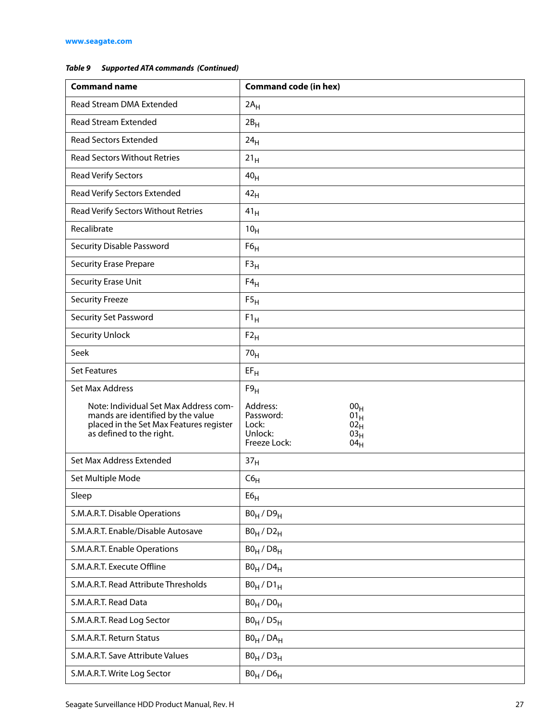#### *Table 9 Supported ATA commands (Continued)*

| <b>Command name</b>                                                                                                                               | <b>Command code (in hex)</b>                                                                                                           |
|---------------------------------------------------------------------------------------------------------------------------------------------------|----------------------------------------------------------------------------------------------------------------------------------------|
| Read Stream DMA Extended                                                                                                                          | $2A_H$                                                                                                                                 |
| <b>Read Stream Extended</b>                                                                                                                       | $2B_H$                                                                                                                                 |
| <b>Read Sectors Extended</b>                                                                                                                      | 24 <sub>H</sub>                                                                                                                        |
| <b>Read Sectors Without Retries</b>                                                                                                               | 21 <sub>H</sub>                                                                                                                        |
| <b>Read Verify Sectors</b>                                                                                                                        | 40 <sub>H</sub>                                                                                                                        |
| Read Verify Sectors Extended                                                                                                                      | 42 <sub>H</sub>                                                                                                                        |
| Read Verify Sectors Without Retries                                                                                                               | 41 <sub>H</sub>                                                                                                                        |
| Recalibrate                                                                                                                                       | 10 <sub>H</sub>                                                                                                                        |
| <b>Security Disable Password</b>                                                                                                                  | F6 <sub>H</sub>                                                                                                                        |
| <b>Security Erase Prepare</b>                                                                                                                     | F3 <sub>H</sub>                                                                                                                        |
| Security Erase Unit                                                                                                                               | $F4_H$                                                                                                                                 |
| <b>Security Freeze</b>                                                                                                                            | F5 <sub>H</sub>                                                                                                                        |
| <b>Security Set Password</b>                                                                                                                      | $F1_H$                                                                                                                                 |
| <b>Security Unlock</b>                                                                                                                            | $F2_H$                                                                                                                                 |
| Seek                                                                                                                                              | 70 <sub>H</sub>                                                                                                                        |
| <b>Set Features</b>                                                                                                                               | $EF_H$                                                                                                                                 |
| Set Max Address                                                                                                                                   | F9 <sub>H</sub>                                                                                                                        |
| Note: Individual Set Max Address com-<br>mands are identified by the value<br>placed in the Set Max Features register<br>as defined to the right. | Address:<br>00 <sub>H</sub><br>Password:<br>$01_H$<br>Lock:<br>$02_H$<br>Unlock:<br>03 <sub>H</sub><br>Freeze Lock:<br>04 <sub>H</sub> |
| Set Max Address Extended                                                                                                                          | 37 <sub>H</sub>                                                                                                                        |
| Set Multiple Mode                                                                                                                                 | $C6_H$                                                                                                                                 |
| Sleep                                                                                                                                             | E6 <sub>H</sub>                                                                                                                        |
| S.M.A.R.T. Disable Operations                                                                                                                     | $B0_H / D9_H$                                                                                                                          |
| S.M.A.R.T. Enable/Disable Autosave                                                                                                                | $B0_H$ / $D2_H$                                                                                                                        |
| S.M.A.R.T. Enable Operations                                                                                                                      | $B0_H$ / $D8_H$                                                                                                                        |
| S.M.A.R.T. Execute Offline                                                                                                                        | $B0_H$ / $D4_H$                                                                                                                        |
| S.M.A.R.T. Read Attribute Thresholds                                                                                                              | $B0_H / D1_H$                                                                                                                          |
| S.M.A.R.T. Read Data                                                                                                                              | $B0_H / D0_H$                                                                                                                          |
| S.M.A.R.T. Read Log Sector                                                                                                                        | $B0_H / D5_H$                                                                                                                          |
| S.M.A.R.T. Return Status                                                                                                                          | $B0_H$ / $DA_H$                                                                                                                        |
| S.M.A.R.T. Save Attribute Values                                                                                                                  | $B0_H / D3_H$                                                                                                                          |
| S.M.A.R.T. Write Log Sector                                                                                                                       | $B0_H$ / $D6_H$                                                                                                                        |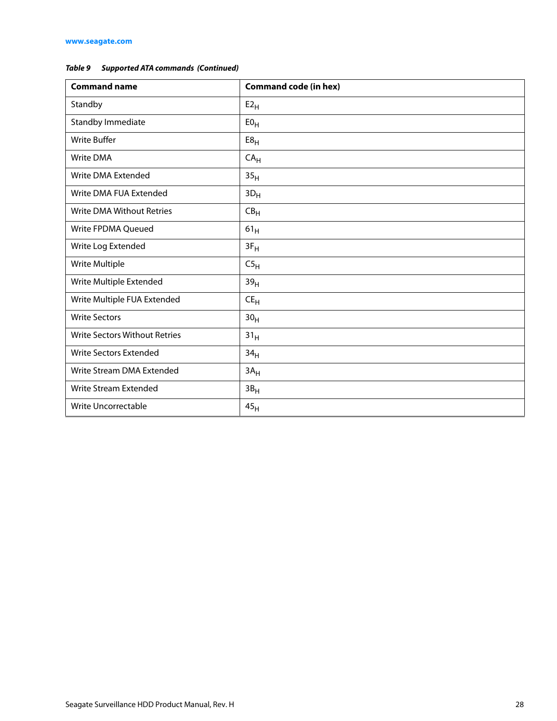#### *Table 9 Supported ATA commands (Continued)*

| <b>Command name</b>                  | <b>Command code (in hex)</b> |
|--------------------------------------|------------------------------|
| Standby                              | $E2_H$                       |
| Standby Immediate                    | E0 <sub>H</sub>              |
| <b>Write Buffer</b>                  | E8 <sub>H</sub>              |
| Write DMA                            | CA <sub>H</sub>              |
| Write DMA Extended                   | 35 <sub>H</sub>              |
| Write DMA FUA Extended               | $3D_H$                       |
| <b>Write DMA Without Retries</b>     | $CB_{H}$                     |
| Write FPDMA Queued                   | $61_H$                       |
| Write Log Extended                   | $3F_H$                       |
| Write Multiple                       | C5 <sub>H</sub>              |
| Write Multiple Extended              | 39 <sub>H</sub>              |
| Write Multiple FUA Extended          | $CE_{H}$                     |
| <b>Write Sectors</b>                 | 30 <sub>H</sub>              |
| <b>Write Sectors Without Retries</b> | 31 <sub>H</sub>              |
| <b>Write Sectors Extended</b>        | 34 <sub>H</sub>              |
| Write Stream DMA Extended            | 3A <sub>H</sub>              |
| Write Stream Extended                | $3B_H$                       |
| Write Uncorrectable                  | 45 <sub>H</sub>              |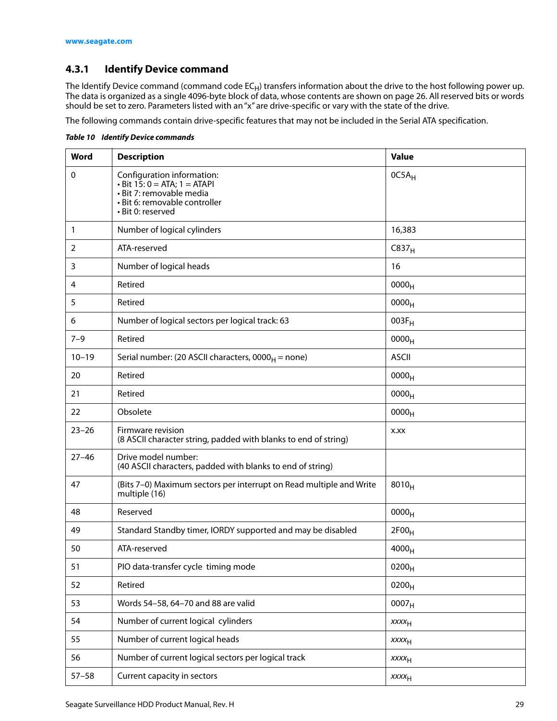#### <span id="page-29-0"></span>**4.3.1 Identify Device command**

The Identify Device command (command code EC<sub>H</sub>) transfers information about the drive to the host following power up. The data is organized as a single 4096-byte block of data, whose contents are shown on page 26. All reserved bits or words should be set to zero. Parameters listed with an "x" are drive-specific or vary with the state of the drive.

The following commands contain drive-specific features that may not be included in the Serial ATA specification.

| Word         | <b>Description</b>                                                                                                                                 | <b>Value</b>      |
|--------------|----------------------------------------------------------------------------------------------------------------------------------------------------|-------------------|
| $\mathbf 0$  | Configuration information:<br>$\cdot$ Bit 15: 0 = ATA; 1 = ATAPI<br>· Bit 7: removable media<br>· Bit 6: removable controller<br>· Bit 0: reserved | $OC5A_H$          |
| $\mathbf{1}$ | Number of logical cylinders                                                                                                                        | 16,383            |
| 2            | ATA-reserved                                                                                                                                       | C837 <sub>H</sub> |
| 3            | Number of logical heads                                                                                                                            | 16                |
| 4            | Retired                                                                                                                                            | 0000 <sub>H</sub> |
| 5            | Retired                                                                                                                                            | 0000 <sub>H</sub> |
| 6            | Number of logical sectors per logical track: 63                                                                                                    | $003F_H$          |
| $7 - 9$      | Retired                                                                                                                                            | 0000 <sub>H</sub> |
| $10 - 19$    | Serial number: (20 ASCII characters, $0000_H$ = none)                                                                                              | <b>ASCII</b>      |
| 20           | Retired                                                                                                                                            | 0000 <sub>H</sub> |
| 21           | Retired                                                                                                                                            | 0000 <sub>H</sub> |
| 22           | Obsolete                                                                                                                                           | 0000 <sub>H</sub> |
| $23 - 26$    | Firmware revision<br>(8 ASCII character string, padded with blanks to end of string)                                                               | X.XX              |
| $27 - 46$    | Drive model number:<br>(40 ASCII characters, padded with blanks to end of string)                                                                  |                   |
| 47           | (Bits 7-0) Maximum sectors per interrupt on Read multiple and Write<br>multiple (16)                                                               | $8010_H$          |
| 48           | Reserved                                                                                                                                           | 0000 <sub>H</sub> |
| 49           | Standard Standby timer, IORDY supported and may be disabled                                                                                        | 2F00 <sub>H</sub> |
| 50           | ATA-reserved                                                                                                                                       | 4000 <sub>H</sub> |
| 51           | PIO data-transfer cycle timing mode                                                                                                                | 0200 <sub>H</sub> |
| 52           | Retired                                                                                                                                            | $0200_H$          |
| 53           | Words 54-58, 64-70 and 88 are valid                                                                                                                | 0007 <sub>H</sub> |
| 54           | Number of current logical cylinders                                                                                                                | $xxxx_{H}$        |
| 55           | Number of current logical heads                                                                                                                    | $xxxx_{H}$        |
| 56           | Number of current logical sectors per logical track                                                                                                | $xxxx_{H}$        |
| $57 - 58$    | Current capacity in sectors                                                                                                                        | XXXH              |

*Table 10 Identify Device commands*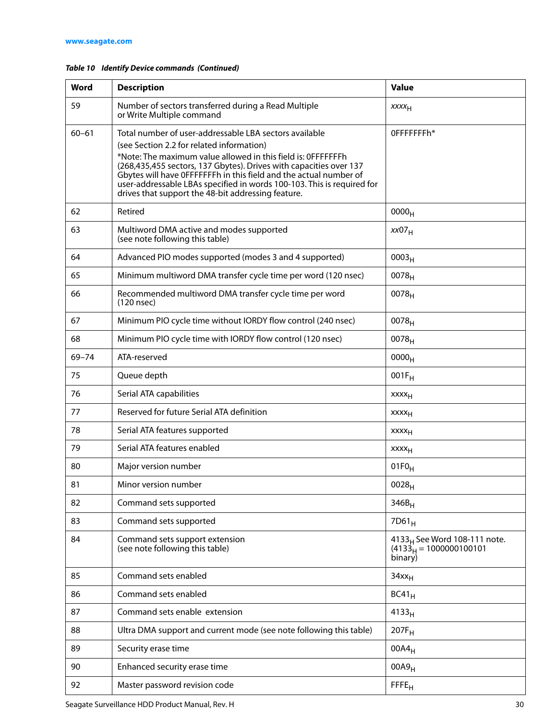| Word      | <b>Description</b>                                                                                                                                                                                                                                                                                                                     | <b>Value</b>                                                                    |
|-----------|----------------------------------------------------------------------------------------------------------------------------------------------------------------------------------------------------------------------------------------------------------------------------------------------------------------------------------------|---------------------------------------------------------------------------------|
| 59        | Number of sectors transferred during a Read Multiple<br>or Write Multiple command                                                                                                                                                                                                                                                      | XXXH                                                                            |
| $60 - 61$ | Total number of user-addressable LBA sectors available                                                                                                                                                                                                                                                                                 | OFFFFFFFh*                                                                      |
|           | (see Section 2.2 for related information)                                                                                                                                                                                                                                                                                              |                                                                                 |
|           | *Note: The maximum value allowed in this field is: 0FFFFFFFh<br>(268,435,455 sectors, 137 Gbytes). Drives with capacities over 137<br>Gbytes will have OFFFFFFh in this field and the actual number of<br>user-addressable LBAs specified in words 100-103. This is required for<br>drives that support the 48-bit addressing feature. |                                                                                 |
| 62        | Retired                                                                                                                                                                                                                                                                                                                                | 0000 <sub>H</sub>                                                               |
| 63        | Multiword DMA active and modes supported<br>(see note following this table)                                                                                                                                                                                                                                                            | xx07 <sub>H</sub>                                                               |
| 64        | Advanced PIO modes supported (modes 3 and 4 supported)                                                                                                                                                                                                                                                                                 | 0003 <sub>H</sub>                                                               |
| 65        | Minimum multiword DMA transfer cycle time per word (120 nsec)                                                                                                                                                                                                                                                                          | 0078 <sub>H</sub>                                                               |
| 66        | Recommended multiword DMA transfer cycle time per word<br>(120 nsec)                                                                                                                                                                                                                                                                   | 0078 <sub>H</sub>                                                               |
| 67        | Minimum PIO cycle time without IORDY flow control (240 nsec)                                                                                                                                                                                                                                                                           | 0078 <sub>H</sub>                                                               |
| 68        | Minimum PIO cycle time with IORDY flow control (120 nsec)                                                                                                                                                                                                                                                                              | $0078_H$                                                                        |
| 69-74     | ATA-reserved                                                                                                                                                                                                                                                                                                                           | 0000 <sub>H</sub>                                                               |
| 75        | Queue depth                                                                                                                                                                                                                                                                                                                            | $001F_H$                                                                        |
| 76        | Serial ATA capabilities                                                                                                                                                                                                                                                                                                                | XXXH                                                                            |
| 77        | Reserved for future Serial ATA definition                                                                                                                                                                                                                                                                                              | xxxx <sub>H</sub>                                                               |
| 78        | Serial ATA features supported                                                                                                                                                                                                                                                                                                          | XXXH                                                                            |
| 79        | Serial ATA features enabled                                                                                                                                                                                                                                                                                                            | xxxx <sub>H</sub>                                                               |
| 80        | Major version number                                                                                                                                                                                                                                                                                                                   | $01F0_H$                                                                        |
| 81        | Minor version number                                                                                                                                                                                                                                                                                                                   | 0028 <sub>H</sub>                                                               |
| 82        | Command sets supported                                                                                                                                                                                                                                                                                                                 | $346B_H$                                                                        |
| 83        | Command sets supported                                                                                                                                                                                                                                                                                                                 | $7D61_H$                                                                        |
| 84        | Command sets support extension<br>(see note following this table)                                                                                                                                                                                                                                                                      | 4133 <sub>H</sub> See Word 108-111 note.<br>$(4133H = 1000000100101$<br>binary) |
| 85        | Command sets enabled                                                                                                                                                                                                                                                                                                                   | 34xx <sub>H</sub>                                                               |
| 86        | Command sets enabled                                                                                                                                                                                                                                                                                                                   | $BC41_H$                                                                        |
| 87        | Command sets enable extension                                                                                                                                                                                                                                                                                                          | 4133 <sub>H</sub>                                                               |
| 88        | Ultra DMA support and current mode (see note following this table)                                                                                                                                                                                                                                                                     | $207F_H$                                                                        |
| 89        | Security erase time                                                                                                                                                                                                                                                                                                                    | $00A4_H$                                                                        |
| 90        | Enhanced security erase time                                                                                                                                                                                                                                                                                                           | 00A9 <sub>H</sub>                                                               |
| 92        | Master password revision code                                                                                                                                                                                                                                                                                                          | FFE <sub>H</sub>                                                                |

#### *Table 10 Identify Device commands (Continued)*

Seagate Surveillance HDD Product Manual, Rev. H 30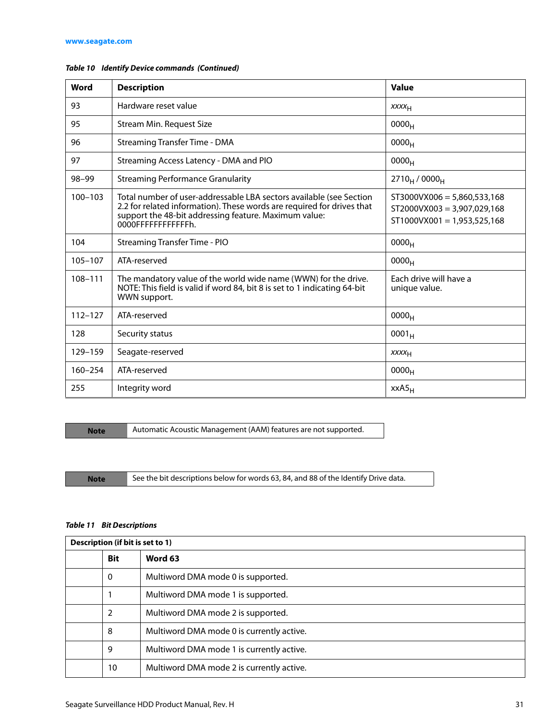| Word        | <b>Description</b>                                                                                                                                                                                                            | Value                                                                                           |
|-------------|-------------------------------------------------------------------------------------------------------------------------------------------------------------------------------------------------------------------------------|-------------------------------------------------------------------------------------------------|
| 93          | Hardware reset value                                                                                                                                                                                                          | <b>XXXX<sub>H</sub></b>                                                                         |
| 95          | Stream Min. Request Size                                                                                                                                                                                                      | 0000 <sub>H</sub>                                                                               |
| 96          | <b>Streaming Transfer Time - DMA</b>                                                                                                                                                                                          | 0000 <sub>H</sub>                                                                               |
| 97          | Streaming Access Latency - DMA and PIO                                                                                                                                                                                        | 0000 <sub>H</sub>                                                                               |
| 98-99       | <b>Streaming Performance Granularity</b>                                                                                                                                                                                      | $2710_H / 0000_H$                                                                               |
| $100 - 103$ | Total number of user-addressable LBA sectors available (see Section<br>2.2 for related information). These words are required for drives that<br>support the 48-bit addressing feature. Maximum value:<br>0000FFFFFFFFFFFFFh. | $ST3000VX006 = 5,860,533,168$<br>$ST2000VX003 = 3,907,029,168$<br>$ST1000VX001 = 1,953,525,168$ |
| 104         | <b>Streaming Transfer Time - PIO</b>                                                                                                                                                                                          | 0000 <sub>H</sub>                                                                               |
| 105-107     | ATA-reserved                                                                                                                                                                                                                  | 0000 <sub>H</sub>                                                                               |
| 108-111     | The mandatory value of the world wide name (WWN) for the drive.<br>NOTE: This field is valid if word 84, bit 8 is set to 1 indicating 64-bit<br>WWN support.                                                                  | Fach drive will have a<br>unique value.                                                         |
| $112 - 127$ | ATA-reserved                                                                                                                                                                                                                  | 0000 <sub>H</sub>                                                                               |
| 128         | Security status                                                                                                                                                                                                               | $0001_H$                                                                                        |
| 129-159     | Seagate-reserved                                                                                                                                                                                                              | XXXH                                                                                            |
| $160 - 254$ | ATA-reserved                                                                                                                                                                                                                  | 0000 <sub>H</sub>                                                                               |
| 255         | Integrity word                                                                                                                                                                                                                | $XXAS_H$                                                                                        |

#### *Table 10 Identify Device commands (Continued)*

**Note** Automatic Acoustic Management (AAM) features are not supported.

Note See the bit descriptions below for words 63, 84, and 88 of the Identify Drive data.

#### *Table 11 Bit Descriptions*

| Description (if bit is set to 1) |            |                                           |  |  |
|----------------------------------|------------|-------------------------------------------|--|--|
|                                  | <b>Bit</b> | Word 63                                   |  |  |
|                                  | $\Omega$   | Multiword DMA mode 0 is supported.        |  |  |
|                                  |            | Multiword DMA mode 1 is supported.        |  |  |
|                                  | 2          | Multiword DMA mode 2 is supported.        |  |  |
|                                  | 8          | Multiword DMA mode 0 is currently active. |  |  |
|                                  | 9          | Multiword DMA mode 1 is currently active. |  |  |
|                                  | 10         | Multiword DMA mode 2 is currently active. |  |  |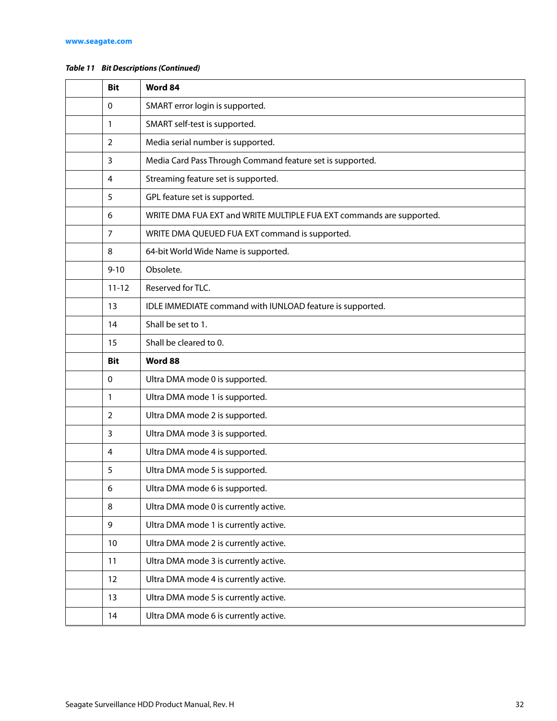#### *Table 11 Bit Descriptions (Continued)*

| <b>Bit</b> | Word 84                                                              |  |
|------------|----------------------------------------------------------------------|--|
| 0          | SMART error login is supported.                                      |  |
| 1          | SMART self-test is supported.                                        |  |
| 2          | Media serial number is supported.                                    |  |
| 3          | Media Card Pass Through Command feature set is supported.            |  |
| 4          | Streaming feature set is supported.                                  |  |
| 5          | GPL feature set is supported.                                        |  |
| 6          | WRITE DMA FUA EXT and WRITE MULTIPLE FUA EXT commands are supported. |  |
| 7          | WRITE DMA QUEUED FUA EXT command is supported.                       |  |
| 8          | 64-bit World Wide Name is supported.                                 |  |
| $9 - 10$   | Obsolete.                                                            |  |
| $11 - 12$  | Reserved for TLC.                                                    |  |
| 13         | IDLE IMMEDIATE command with IUNLOAD feature is supported.            |  |
| 14         | Shall be set to 1.                                                   |  |
| 15         | Shall be cleared to 0.                                               |  |
|            |                                                                      |  |
| <b>Bit</b> | Word 88                                                              |  |
| 0          | Ultra DMA mode 0 is supported.                                       |  |
| 1          | Ultra DMA mode 1 is supported.                                       |  |
| 2          | Ultra DMA mode 2 is supported.                                       |  |
| 3          | Ultra DMA mode 3 is supported.                                       |  |
| 4          | Ultra DMA mode 4 is supported.                                       |  |
| 5          | Ultra DMA mode 5 is supported.                                       |  |
| 6          | Ultra DMA mode 6 is supported.                                       |  |
| 8          | Ultra DMA mode 0 is currently active.                                |  |
| 9          | Ultra DMA mode 1 is currently active.                                |  |
| 10         | Ultra DMA mode 2 is currently active.                                |  |
| 11         | Ultra DMA mode 3 is currently active.                                |  |
| 12         | Ultra DMA mode 4 is currently active.                                |  |
| 13         | Ultra DMA mode 5 is currently active.                                |  |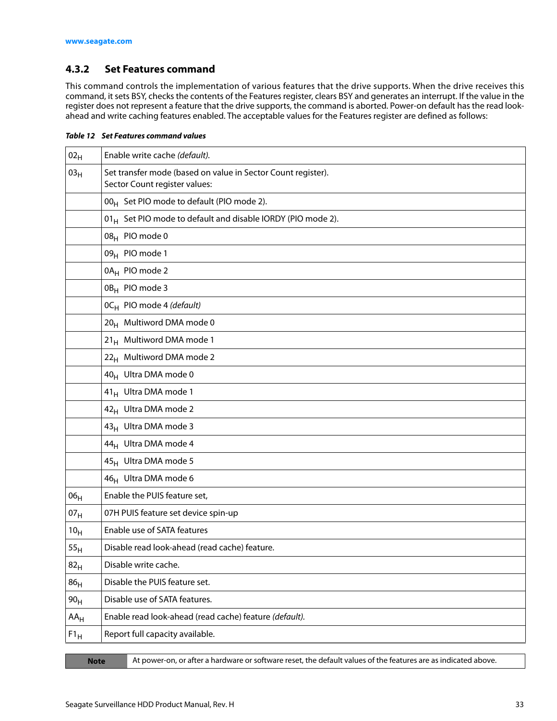#### <span id="page-33-0"></span>**4.3.2 Set Features command**

This command controls the implementation of various features that the drive supports. When the drive receives this command, it sets BSY, checks the contents of the Features register, clears BSY and generates an interrupt. If the value in the register does not represent a feature that the drive supports, the command is aborted. Power-on default has the read lookahead and write caching features enabled. The acceptable values for the Features register are defined as follows:

*Table 12 Set Features command values* 

| $02_H$          | Enable write cache (default).                                                                 |  |  |  |
|-----------------|-----------------------------------------------------------------------------------------------|--|--|--|
| 03 <sub>H</sub> | Set transfer mode (based on value in Sector Count register).<br>Sector Count register values: |  |  |  |
|                 | 00 <sub>H</sub> Set PIO mode to default (PIO mode 2).                                         |  |  |  |
|                 | 01 <sub>H</sub> Set PIO mode to default and disable IORDY (PIO mode 2).                       |  |  |  |
|                 | 08 <sub>H</sub> PIO mode 0                                                                    |  |  |  |
|                 | 09 <sub>H</sub> PIO mode 1                                                                    |  |  |  |
|                 | 0A <sub>H</sub> PIO mode 2                                                                    |  |  |  |
|                 | 0B <sub>H</sub> PIO mode 3                                                                    |  |  |  |
|                 | 0C <sub>H</sub> PIO mode 4 (default)                                                          |  |  |  |
|                 | 20 <sub>H</sub> Multiword DMA mode 0                                                          |  |  |  |
|                 | 21 <sub>H</sub> Multiword DMA mode 1                                                          |  |  |  |
|                 | 22 <sub>H</sub> Multiword DMA mode 2                                                          |  |  |  |
|                 | 40 <sub>H</sub> Ultra DMA mode 0                                                              |  |  |  |
|                 | 41 <sub>H</sub> Ultra DMA mode 1                                                              |  |  |  |
|                 | 42 <sub>H</sub> Ultra DMA mode 2                                                              |  |  |  |
|                 | 43 <sub>H</sub> Ultra DMA mode 3                                                              |  |  |  |
|                 | 44 <sub>H</sub> Ultra DMA mode 4                                                              |  |  |  |
|                 | 45 <sub>H</sub> Ultra DMA mode 5                                                              |  |  |  |
|                 | 46 <sub>H</sub> Ultra DMA mode 6                                                              |  |  |  |
| 06 <sub>H</sub> | Enable the PUIS feature set,                                                                  |  |  |  |
| 07 <sub>H</sub> | 07H PUIS feature set device spin-up                                                           |  |  |  |
| 10 <sub>H</sub> | Enable use of SATA features                                                                   |  |  |  |
| 55 <sub>H</sub> | Disable read look-ahead (read cache) feature.                                                 |  |  |  |
| 82 <sub>H</sub> | Disable write cache.                                                                          |  |  |  |
| 86 <sub>H</sub> | Disable the PUIS feature set.                                                                 |  |  |  |
| 90 <sub>H</sub> | Disable use of SATA features.                                                                 |  |  |  |
| $AA_H$          | Enable read look-ahead (read cache) feature (default).                                        |  |  |  |
| $F1_H$          | Report full capacity available.                                                               |  |  |  |

| and the state of the state of the state of the state of the state of the state of the state of the state of th<br>and the state of the state of the state of the state of the state of the state of the state of the state of th<br><b>CONTRACTOR</b> |        |
|-------------------------------------------------------------------------------------------------------------------------------------------------------------------------------------------------------------------------------------------------------|--------|
|                                                                                                                                                                                                                                                       |        |
|                                                                                                                                                                                                                                                       |        |
| <b>STATE OF A STATE OF A STATE OF A STATE OF A STATE OF A STATE OF A STATE OF A STATE OF A STATE OF A STATE OF A</b><br><b>STATE OF A STATE OF A STATE OF A STATE OF A STATE OF A STATE OF A STATE OF A STATE OF A STATE OF A STATE OF A</b>          | -<br>_ |

At power-on, or after a hardware or software reset, the default values of the features are as indicated above.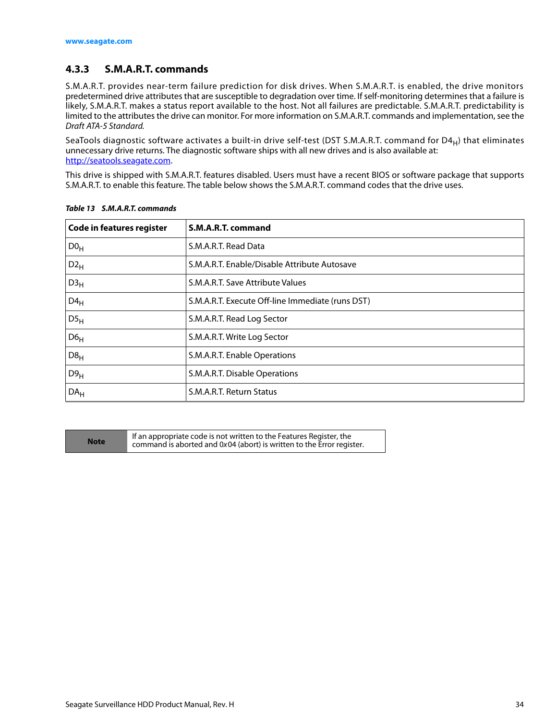#### <span id="page-34-0"></span>**4.3.3 S.M.A.R.T. commands**

S.M.A.R.T. provides near-term failure prediction for disk drives. When S.M.A.R.T. is enabled, the drive monitors predetermined drive attributes that are susceptible to degradation over time. If self-monitoring determines that a failure is likely, S.M.A.R.T. makes a status report available to the host. Not all failures are predictable. S.M.A.R.T. predictability is limited to the attributes the drive can monitor. For more information on S.M.A.R.T. commands and implementation, see the Draft ATA-5 Standard.

SeaTools diagnostic software activates a built-in drive self-test (DST S.M.A.R.T. command for D4 $_H$ ) that eliminates unnecessary drive returns. The diagnostic software ships with all new drives and is also available at: http://seatools.seagate.com.

This drive is shipped with S.M.A.R.T. features disabled. Users must have a recent BIOS or software package that supports S.M.A.R.T. to enable this feature. The table below shows the S.M.A.R.T. command codes that the drive uses.

| <b>Code in features register</b> | S.M.A.R.T. command                               |
|----------------------------------|--------------------------------------------------|
| D0 <sub>H</sub>                  | S.M.A.R.T. Read Data                             |
| $D2_{H}$                         | S.M.A.R.T. Enable/Disable Attribute Autosave     |
| D3 <sub>H</sub>                  | S.M.A.R.T. Save Attribute Values                 |
| $D4_H$                           | S.M.A.R.T. Execute Off-line Immediate (runs DST) |
| DS <sub>H</sub>                  | S.M.A.R.T. Read Log Sector                       |
| D6 <sub>H</sub>                  | S.M.A.R.T. Write Log Sector                      |
| D8 <sub>H</sub>                  | S.M.A.R.T. Enable Operations                     |
| D9 <sub>H</sub>                  | S.M.A.R.T. Disable Operations                    |
| DA <sub>H</sub>                  | S.M.A.R.T. Return Status                         |

*Table 13 S.M.A.R.T. commands*

**Note** If an appropriate code is not written to the Features Register, the command is aborted and 0x04 (abort) is written to the Error register. command is aborted and 0x 04 (abort) is written to the Error register.